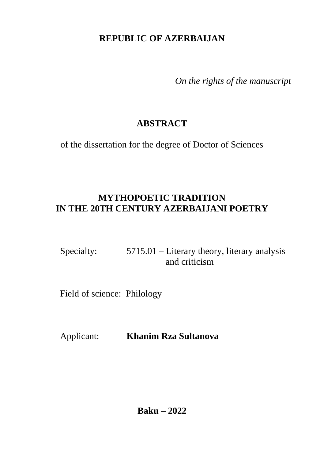## **REPUBLIC OF AZERBAIJAN**

*On the rights of the manuscript*

# **ABSTRACT**

of the dissertation for the degree of Doctor of Sciences

## **MYTHOPOETIC TRADITION IN THE 20TH CENTURY AZERBAIJANI POETRY**

| Specialty: | $5715.01$ – Literary theory, literary analysis |
|------------|------------------------------------------------|
|            | and criticism                                  |

Field of science: Philology

Applicant: **Khanim Rza Sultanova**

**Baku – 2022**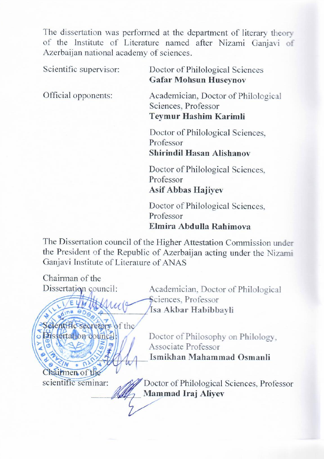The dissertation was performed at the department of literary theory of the Institute of Literature named after Nizami Ganjavi of Azerbaijan national academy of sciences Azerbaijan national academy of sciences.

Official opponents:

Gafar Mohsun Huseynov

Academician, Doctor of Philological Sciences, Professor Tevmur Hashim Karimli

Doctor of Philological Sciences, Professor

Shirindil Hasan Alishanov

**Doctor of Philological Sciences.** Professor **Asif Abbas Hajivev** 

**Doctor of Philological Sciences,** Professor<br>
Division Division **Eunira** 

The Dissertation council of the Higher Attestation Commission under the President of the Republic of Azerbaijan acting under the Nizami<br>Ganjavi Institute of Literature of ANAS the President of the Republic of Azerbaid under the Nizamid under the Nizamid under the Nizamid under the Nizamid under the Nizamid under the Nizamid under the Nizamid under the Nizamid under the Nizamid under the Nizamid

Chairman of the Academician, Doctor of Philological  $\overrightarrow{A}$ Luce Sciences, Professor<br>Isa Akbar Habibbayli Sciences, Professor **Sejentific secretary of the**<br>**Issectation council:** Doctor of Philosophy on Philology.  $|\zeta|$  of  $\Delta$   $\ge$   $\frac{1}{2}$   $|\zeta|$   $\frac{1}{2}$ Associate Professor Ismikhan Mahammad Osmanli Chairmen of the<br>scientific seminar: All Doctor of Philological Sciences, Professor Chairmen of the **Mammad Iraj Alivev**  $\frac{1}{2}$ \_\_\_\_\_\_\_\_\_\_\_ **Mammad Iraj Aliyev**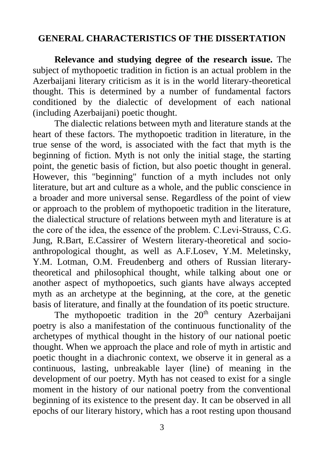### **GENERAL CHARACTERISTICS OF THE DISSERTATION**

**Relevance and studying degree of the research issue.** The subject of mythopoetic tradition in fiction is an actual problem in the Azerbaijani literary criticism as it is in the world literary-theoretical thought. This is determined by a number of fundamental factors conditioned by the dialectic of development of each national (including Azerbaijani) poetic thought.

The dialectic relations between myth and literature stands at the heart of these factors. The mythopoetic tradition in literature, in the true sense of the word, is associated with the fact that myth is the beginning of fiction. Myth is not only the initial stage, the starting point, the genetic basis of fiction, but also poetic thought in general. However, this "beginning" function of a myth includes not only literature, but art and culture as a whole, and the public conscience in a broader and more universal sense. Regardless of the point of view or approach to the problem of mythopoetic tradition in the literature, the dialectical structure of relations between myth and literature is at the core of the idea, the essence of the problem. С.Levi-Strauss, С.G. Jung, R.Bart, E.Cassirer of Western literary-theoretical and socioanthropological thought, as well as A.F.Losev, Y.M. Meletinsky, Y.M. Lotman, O.M. Freudenberg and others of Russian literarytheoretical and philosophical thought, while talking about one or another aspect of mythopoetics, such giants have always accepted myth as an archetype at the beginning, at the core, at the genetic basis of literature, and finally at the foundation of its poetic structure.

The mythopoetic tradition in the  $20<sup>th</sup>$  century Azerbaijani poetry is also a manifestation of the continuous functionality of the archetypes of mythical thought in the history of our national poetic thought. When we approach the place and role of myth in artistic and poetic thought in a diachronic context, we observe it in general as a continuous, lasting, unbreakable layer (line) of meaning in the development of our poetry. Myth has not ceased to exist for a single moment in the history of our national poetry from the conventional beginning of its existence to the present day. It can be observed in all epochs of our literary history, which has a root resting upon thousand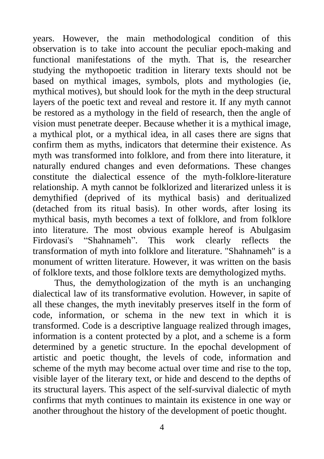years. However, the main methodological condition of this observation is to take into account the peculiar epoch-making and functional manifestations of the myth. That is, the researcher studying the mythopoetic tradition in literary texts should not be based on mythical images, symbols, plots and mythologies (ie, mythical motives), but should look for the myth in the deep structural layers of the poetic text and reveal and restore it. If any myth cannot be restored as a mythology in the field of research, then the angle of vision must penetrate deeper. Because whether it is a mythical image, a mythical plot, or a mythical idea, in all cases there are signs that confirm them as myths, indicators that determine their existence. As myth was transformed into folklore, and from there into literature, it naturally endured changes and even deformations. These changes constitute the dialectical essence of the myth-folklore-literature relationship. A myth cannot be folklorized and literarized unless it is demythified (deprived of its mythical basis) and deritualized (detached from its ritual basis). In other words, after losing its mythical basis, myth becomes a text of folklore, and from folklore into literature. The most obvious example hereof is Abulgasim Firdovasi's "Shahnameh". This work clearly reflects the transformation of myth into folklore and literature. "Shahnameh" is a monument of written literature. However, it was written on the basis of folklore texts, and those folklore texts are demythologized myths.

Thus, the demythologization of the myth is an unchanging dialectical law of its transformative evolution. However, in sapite of all these changes, the myth inevitably preserves itself in the form of code, information, or schema in the new text in which it is transformed. Code is a descriptive language realized through images, information is a content protected by a plot, and a scheme is a form determined by a genetic structure. In the epochal development of artistic and poetic thought, the levels of code, information and scheme of the myth may become actual over time and rise to the top, visible layer of the literary text, or hide and descend to the depths of its structural layers. This aspect of the self-survival dialectic of myth confirms that myth continues to maintain its existence in one way or another throughout the history of the development of poetic thought.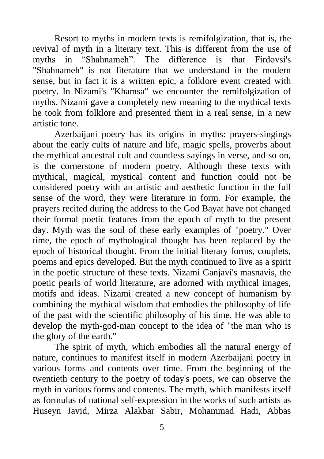Resort to myths in modern texts is remifolgization, that is, the revival of myth in a literary text. This is different from the use of myths in "Shahnameh". The difference is that Firdovsi's "Shahnameh" is not literature that we understand in the modern sense, but in fact it is a written epic, a folklore event created with poetry. In Nizami's "Khamsa" we encounter the remifolgization of myths. Nizami gave a completely new meaning to the mythical texts he took from folklore and presented them in a real sense, in a new artistic tone.

Azerbaijani poetry has its origins in myths: prayers-singings about the early cults of nature and life, magic spells, proverbs about the mythical ancestral cult and countless sayings in verse, and so on, is the cornerstone of modern poetry. Although these texts with mythical, magical, mystical content and function could not be considered poetry with an artistic and aesthetic function in the full sense of the word, they were literature in form. For example, the prayers recited during the address to the God Bayat have not changed their formal poetic features from the epoch of myth to the present day. Myth was the soul of these early examples of "poetry." Over time, the epoch of mythological thought has been replaced by the epoch of historical thought. From the initial literary forms, couplets, poems and epics developed. But the myth continued to live as a spirit in the poetic structure of these texts. Nizami Ganjavi's masnavis, the poetic pearls of world literature, are adorned with mythical images, motifs and ideas. Nizami created a new concept of humanism by combining the mythical wisdom that embodies the philosophy of life of the past with the scientific philosophy of his time. He was able to develop the myth-god-man concept to the idea of "the man who is the glory of the earth."

The spirit of myth, which embodies all the natural energy of nature, continues to manifest itself in modern Azerbaijani poetry in various forms and contents over time. From the beginning of the twentieth century to the poetry of today's poets, we can observe the myth in various forms and contents. The myth, which manifests itself as formulas of national self-expression in the works of such artists as Huseyn Javid, Mirza Alakbar Sabir, Mohammad Hadi, Abbas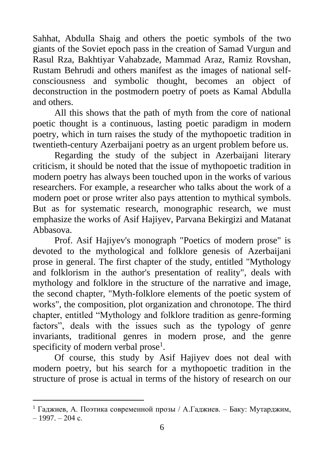Sahhat, Abdulla Shaig and others the poetic symbols of the two giants of the Soviet epoch pass in the creation of Samad Vurgun and Rasul Rza, Bakhtiyar Vahabzade, Mammad Araz, Ramiz Rovshan, Rustam Behrudi and others manifest as the images of national selfconsciousness and symbolic thought, becomes an object of deconstruction in the postmodern poetry of poets as Kamal Abdulla and others.

All this shows that the path of myth from the core of national poetic thought is a continuous, lasting poetic paradigm in modern poetry, which in turn raises the study of the mythopoetic tradition in twentieth-century Azerbaijani poetry as an urgent problem before us.

Regarding the study of the subject in Azerbaijani literary criticism, it should be noted that the issue of mythopoetic tradition in modern poetry has always been touched upon in the works of various researchers. For example, a researcher who talks about the work of a modern poet or prose writer also pays attention to mythical symbols. But as for systematic research, monographic research, we must emphasize the works of Asif Hajiyev, Parvana Bekirgizi and Matanat Abbasova.

Prof. Asif Hajiyev's monograph "Poetics of modern prose" is devoted to the mythological and folklore genesis of Azerbaijani prose in general. The first chapter of the study, entitled "Mythology and folklorism in the author's presentation of reality", deals with mythology and folklore in the structure of the narrative and image, the second chapter, "Myth-folklore elements of the poetic system of works", the composition, plot organization and chronotope. The third chapter, entitled "Mythology and folklore tradition as genre-forming factors", deals with the issues such as the typology of genre invariants, traditional genres in modern prose, and the genre specificity of modern verbal prose<sup>1</sup>.

Of course, this study by Asif Hajiyev does not deal with modern poetry, but his search for a mythopoetic tradition in the structure of prose is actual in terms of the history of research on our

<sup>&</sup>lt;sup>1</sup> Гаджиев, А. Поэтика современной прозы / А.Гаджиев. – Баку: Мутарджим,  $-1997. - 204$  c.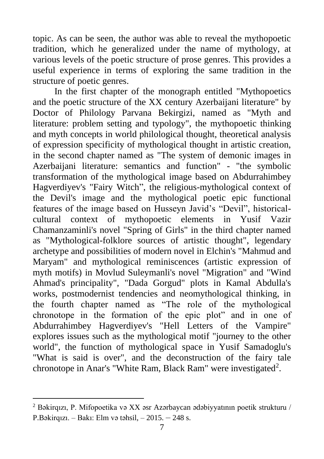topic. As can be seen, the author was able to reveal the mythopoetic tradition, which he generalized under the name of mythology, at various levels of the poetic structure of prose genres. This provides a useful experience in terms of exploring the same tradition in the structure of poetic genres.

In the first chapter of the monograph entitled "Mythopoetics and the poetic structure of the XX century Azerbaijani literature" by Doctor of Philology Parvana Bekirgizi, named as "Myth and literature: problem setting and typology", the mythopoetic thinking and myth concepts in world philological thought, theoretical analysis of expression specificity of mythological thought in artistic creation, in the second chapter named as "The system of demonic images in Azerbaijani literature: semantics and function" - "the symbolic transformation of the mythological image based on Abdurrahimbey Hagverdiyev's "Fairy Witch", the religious-mythological context of the Devil's image and the mythological poetic epic functional features of the image based on Husseyn Javid's "Devil", historicalcultural context of mythopoetic elements in Yusif Vazir Chamanzaminli's novel "Spring of Girls" in the third chapter named as "Mythological-folklore sources of artistic thought", legendary archetype and possibilities of modern novel in Elchin's "Mahmud and Maryam" and mythological reminiscences (artistic expression of myth motifs) in Movlud Suleymanli's novel "Migration" and "Wind Ahmad's principality", "Dada Gorgud" plots in Kamal Abdulla's works, postmodernist tendencies and neomythological thinking, in the fourth chapter named as "The role of the mythological chronotope in the formation of the epic plot" and in one of Abdurrahimbey Hagverdiyev's "Hell Letters of the Vampire" explores issues such as the mythological motif "journey to the other world", the function of mythological space in Yusif Samadoglu's "What is said is over", and the deconstruction of the fairy tale chronotope in Anar's "White Ram, Black Ram" were investigated<sup>2</sup>.

<sup>2</sup> Bəkirqızı, P. Mifopoetika və XX əsr Azərbaycan ədəbiyyatının poetik strukturu / P.Bəkirqızı. – Bakı: Elm və təhsil, – 2015. – 248 s.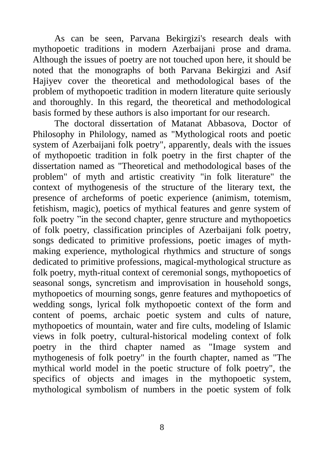As can be seen, Parvana Bekirgizi's research deals with mythopoetic traditions in modern Azerbaijani prose and drama. Although the issues of poetry are not touched upon here, it should be noted that the monographs of both Parvana Bekirgizi and Asif Hajiyev cover the theoretical and methodological bases of the problem of mythopoetic tradition in modern literature quite seriously and thoroughly. In this regard, the theoretical and methodological basis formed by these authors is also important for our research.

The doctoral dissertation of Matanat Abbasova, Doctor of Philosophy in Philology, named as "Mythological roots and poetic system of Azerbaijani folk poetry", apparently, deals with the issues of mythopoetic tradition in folk poetry in the first chapter of the dissertation named as "Theoretical and methodological bases of the problem" of myth and artistic creativity "in folk literature" the context of mythogenesis of the structure of the literary text, the presence of archeforms of poetic experience (animism, totemism, fetishism, magic), poetics of mythical features and genre system of folk poetry "in the second chapter, genre structure and mythopoetics of folk poetry, classification principles of Azerbaijani folk poetry, songs dedicated to primitive professions, poetic images of mythmaking experience, mythological rhythmics and structure of songs dedicated to primitive professions, magical-mythological structure as folk poetry, myth-ritual context of ceremonial songs, mythopoetics of seasonal songs, syncretism and improvisation in household songs, mythopoetics of mourning songs, genre features and mythopoetics of wedding songs, lyrical folk mythopoetic context of the form and content of poems, archaic poetic system and cults of nature, mythopoetics of mountain, water and fire cults, modeling of Islamic views in folk poetry, cultural-historical modeling context of folk poetry in the third chapter named as "Image system and mythogenesis of folk poetry" in the fourth chapter, named as "The mythical world model in the poetic structure of folk poetry", the specifics of objects and images in the mythopoetic system, mythological symbolism of numbers in the poetic system of folk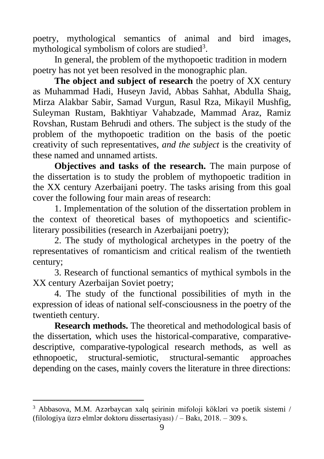poetry, mythological semantics of animal and bird images, mythological symbolism of colors are studied<sup>3</sup>.

In general, the problem of the mythopoetic tradition in modern poetry has not yet been resolved in the monographic plan.

**The object and subject of research** the poetry of XX century as Muhammad Hadi, Huseyn Javid, Abbas Sahhat, Abdulla Shaig, Mirza Alakbar Sabir, Samad Vurgun, Rasul Rza, Mikayil Mushfig, Suleyman Rustam, Bakhtiyar Vahabzade, Mammad Araz, Ramiz Rovshan, Rustam Behrudi and others. The subject is the study of the problem of the mythopoetic tradition on the basis of the poetic creativity of such representatives, *and the subject* is the creativity of these named and unnamed artists.

**Objectives and tasks of the research.** The main purpose of the dissertation is to study the problem of mythopoetic tradition in the XX century Azerbaijani poetry. The tasks arising from this goal cover the following four main areas of research:

1. Implementation of the solution of the dissertation problem in the context of theoretical bases of mythopoetics and scientificliterary possibilities (research in Azerbaijani poetry);

2. The study of mythological archetypes in the poetry of the representatives of romanticism and critical realism of the twentieth century;

3. Research of functional semantics of mythical symbols in the XX century Azerbaijan Soviet poetry;

4. The study of the functional possibilities of myth in the expression of ideas of national self-consciousness in the poetry of the twentieth century.

**Research methods.** The theoretical and methodological basis of the dissertation, which uses the historical-comparative, comparativedescriptive, comparative-typological research methods, as well as ethnopoetic, structural-semiotic, structural-semantic approaches depending on the cases, mainly covers the literature in three directions:

<sup>3</sup> Abbasova, M.M. Azərbaycan xalq şeirinin mifoloji kökləri və poetik sistemi / (filologiya üzrə elmlər doktoru dissertasiyası)  $/ -$  Bakı, 2018. – 309 s.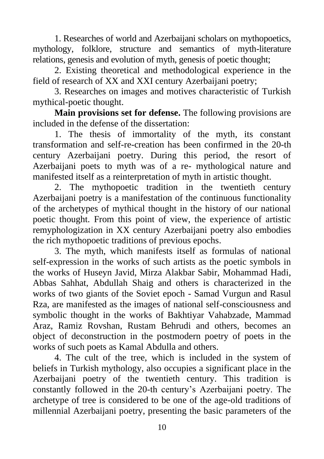1. Researches of world and Azerbaijani scholars on mythopoetics, mythology, folklore, structure and semantics of myth-literature relations, genesis and evolution of myth, genesis of poetic thought;

2. Existing theoretical and methodological experience in the field of research of XX and XXI century Azerbaijani poetry;

3. Researches on images and motives characteristic of Turkish mythical-poetic thought.

**Main provisions set for defense.** The following provisions are included in the defense of the dissertation:

1. The thesis of immortality of the myth, its constant transformation and self-re-creation has been confirmed in the 20-th century Azerbaijani poetry. During this period, the resort of Azerbaijani poets to myth was of a re- mythological nature and manifested itself as a reinterpretation of myth in artistic thought.

2. The mythopoetic tradition in the twentieth century Azerbaijani poetry is a manifestation of the continuous functionality of the archetypes of mythical thought in the history of our national poetic thought. From this point of view, the experience of artistic remyphologization in XX century Azerbaijani poetry also embodies the rich mythopoetic traditions of previous epochs.

3. The myth, which manifests itself as formulas of national self-expression in the works of such artists as the poetic symbols in the works of Huseyn Javid, Mirza Alakbar Sabir, Mohammad Hadi, Abbas Sahhat, Abdullah Shaig and others is characterized in the works of two giants of the Soviet epoch - Samad Vurgun and Rasul Rza, are manifested as the images of national self-consciousness and symbolic thought in the works of Bakhtiyar Vahabzade, Mammad Araz, Ramiz Rovshan, Rustam Behrudi and others, becomes an object of deconstruction in the postmodern poetry of poets in the works of such poets as Kamal Abdulla and others.

4. The cult of the tree, which is included in the system of beliefs in Turkish mythology, also occupies a significant place in the Azerbaijani poetry of the twentieth century. This tradition is constantly followed in the 20-th century's Azerbaijani poetry. The archetype of tree is considered to be one of the age-old traditions of millennial Azerbaijani poetry, presenting the basic parameters of the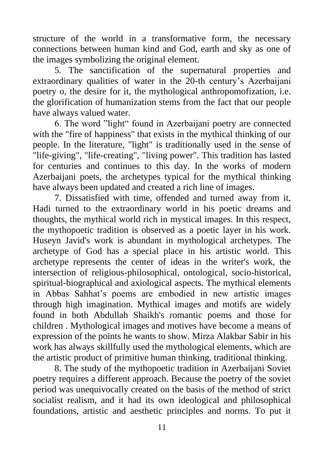structure of the world in a transformative form, the necessary connections between human kind and God, earth and sky as one of the images symbolizing the original element.

5. The sanctification of the supernatural properties and extraordinary qualities of water in the 20-th century's Azerbaijani poetry o, the desire for it, the mythological anthropomofization, i.e. the glorification of humanization stems from the fact that our people have always valued water.

6. The word "light" found in Azerbaijani poetry are connected with the "fire of happiness" that exists in the mythical thinking of our people. In the literature, "light" is traditionally used in the sense of "life-giving", "life-creating", "living power". This tradition has lasted for centuries and continues to this day. In the works of modern Azerbaijani poets, the archetypes typical for the mythical thinking have always been updated and created a rich line of images.

7. Dissatisfied with time, offended and turned away from it, Hadi turned to the extraordinary world in his poetic dreams and thoughts, the mythical world rich in mystical images. In this respect, the mythopoetic tradition is observed as a poetic layer in his work. Huseyn Javid's work is abundant in mythological archetypes. The archetype of God has a special place in his artistic world. This archetype represents the center of ideas in the writer's work, the intersection of religious-philosophical, ontological, socio-historical, spiritual-biographical and axiological aspects. The mythical elements in Abbas Sahhat's poems are embodied in new artistic images through high imagination. Mythical images and motifs are widely found in both Abdullah Shaikh's romantic poems and those for children . Mythological images and motives have become a means of expression of the points he wants to show. Mirza Alakbar Sabir in his work has always skillfully used the mythological elements, which are the artistic product of primitive human thinking, traditional thinking.

8. The study of the mythopoetic tradition in Azerbaijani Soviet poetry requires a different approach. Because the poetry of the soviet period was unequivocally created on the basis of the method of strict socialist realism, and it had its own ideological and philosophical foundations, artistic and aesthetic principles and norms. To put it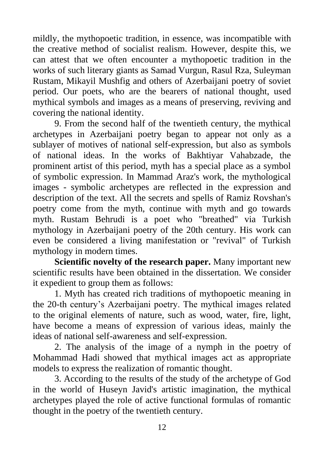mildly, the mythopoetic tradition, in essence, was incompatible with the creative method of socialist realism. However, despite this, we can attest that we often encounter a mythopoetic tradition in the works of such literary giants as Samad Vurgun, Rasul Rza, Suleyman Rustam, Mikayil Mushfig and others of Azerbaijani poetry of soviet period. Our poets, who are the bearers of national thought, used mythical symbols and images as a means of preserving, reviving and covering the national identity.

9. From the second half of the twentieth century, the mythical archetypes in Azerbaijani poetry began to appear not only as a sublayer of motives of national self-expression, but also as symbols of national ideas. In the works of Bakhtiyar Vahabzade, the prominent artist of this period, myth has a special place as a symbol of symbolic expression. In Mammad Araz's work, the mythological images - symbolic archetypes are reflected in the expression and description of the text. All the secrets and spells of Ramiz Rovshan's poetry come from the myth, continue with myth and go towards myth. Rustam Behrudi is a poet who "breathed" via Turkish mythology in Azerbaijani poetry of the 20th century. His work can even be considered a living manifestation or "revival" of Turkish mythology in modern times.

**Scientific novelty of the research paper.** Many important new scientific results have been obtained in the dissertation. We consider it expedient to group them as follows:

1. Myth has created rich traditions of mythopoetic meaning in the 20-th century's Azerbaijani poetry. The mythical images related to the original elements of nature, such as wood, water, fire, light, have become a means of expression of various ideas, mainly the ideas of national self-awareness and self-expression.

2. The analysis of the image of a nymph in the poetry of Mohammad Hadi showed that mythical images act as appropriate models to express the realization of romantic thought.

3. According to the results of the study of the archetype of God in the world of Huseyn Javid's artistic imagination, the mythical archetypes played the role of active functional formulas of romantic thought in the poetry of the twentieth century.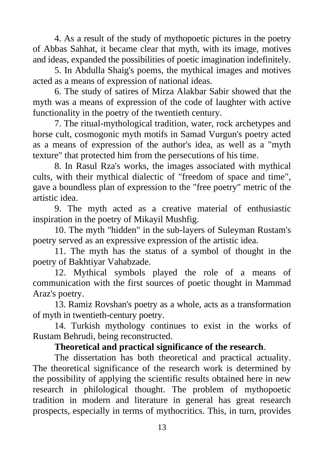4. As a result of the study of mythopoetic pictures in the poetry of Abbas Sahhat, it became clear that myth, with its image, motives and ideas, expanded the possibilities of poetic imagination indefinitely.

5. In Abdulla Shaig's poems, the mythical images and motives acted as a means of expression of national ideas.

6. The study of satires of Mirza Alakbar Sabir showed that the myth was a means of expression of the code of laughter with active functionality in the poetry of the twentieth century.

7. The ritual-mythological tradition, water, rock archetypes and horse cult, cosmogonic myth motifs in Samad Vurgun's poetry acted as a means of expression of the author's idea, as well as a "myth texture" that protected him from the persecutions of his time.

8. In Rasul Rza's works, the images associated with mythical cults, with their mythical dialectic of "freedom of space and time", gave a boundless plan of expression to the "free poetry" metric of the artistic idea.

9. The myth acted as a creative material of enthusiastic inspiration in the poetry of Mikayil Mushfig.

10. The myth "hidden" in the sub-layers of Suleyman Rustam's poetry served as an expressive expression of the artistic idea.

11. The myth has the status of a symbol of thought in the poetry of Bakhtiyar Vahabzade.

12. Mythical symbols played the role of a means of communication with the first sources of poetic thought in Mammad Araz's poetry.

13. Ramiz Rovshan's poetry as a whole, acts as a transformation of myth in twentieth-century poetry.

14. Turkish mythology continues to exist in the works of Rustam Behrudi, being reconstructed.

#### **Theoretical and practical significance of the research**.

The dissertation has both theoretical and practical actuality. The theoretical significance of the research work is determined by the possibility of applying the scientific results obtained here in new research in philological thought. The problem of mythopoetic tradition in modern and literature in general has great research prospects, especially in terms of mythocritics. This, in turn, provides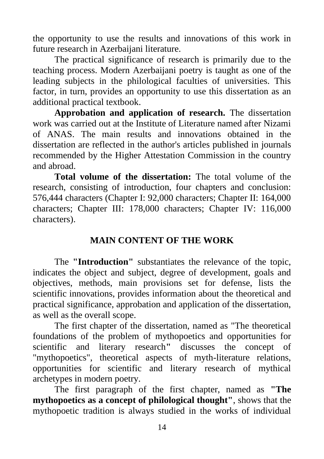the opportunity to use the results and innovations of this work in future research in Azerbaijani literature.

The practical significance of research is primarily due to the teaching process. Modern Azerbaijani poetry is taught as one of the leading subjects in the philological faculties of universities. This factor, in turn, provides an opportunity to use this dissertation as an additional practical textbook.

**Approbation and application of research.** The dissertation work was carried out at the Institute of Literature named after Nizami of ANAS. The main results and innovations obtained in the dissertation are reflected in the author's articles published in journals recommended by the Higher Attestation Commission in the country and abroad.

**Total volume of the dissertation:** The total volume of the research, consisting of introduction, four chapters and conclusion: 576,444 characters (Chapter I: 92,000 characters; Chapter II: 164,000 characters; Chapter III: 178,000 characters; Chapter IV: 116,000 characters).

### **MAIN CONTENT OF THE WORK**

The **"Introduction"** substantiates the relevance of the topic, indicates the object and subject, degree of development, goals and objectives, methods, main provisions set for defense, lists the scientific innovations, provides information about the theoretical and practical significance, approbation and application of the dissertation, as well as the overall scope.

The first chapter of the dissertation, named as "The theoretical foundations of the problem of mythopoetics and opportunities for scientific and literary research**"** discusses the concept of "mythopoetics", theoretical aspects of myth-literature relations, opportunities for scientific and literary research of mythical archetypes in modern poetry.

The first paragraph of the first chapter, named as **"The mythopoetics as a concept of philological thought"**, shows that the mythopoetic tradition is always studied in the works of individual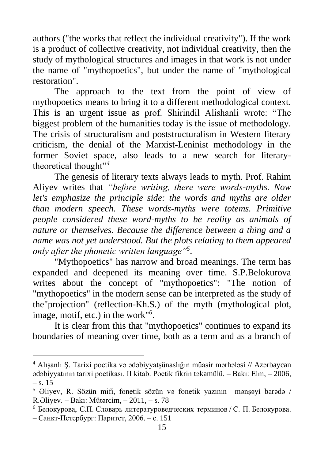authors ("the works that reflect the individual creativity"). If the work is a product of collective creativity, not individual creativity, then the study of mythological structures and images in that work is not under the name of "mythopoetics", but under the name of "mythological restoration".

The approach to the text from the point of view of mythopoetics means to bring it to a different methodological context. This is an urgent issue as prof. Shirindil Alishanli wrote: "The biggest problem of the humanities today is the issue of methodology. The crisis of structuralism and poststructuralism in Western literary criticism, the denial of the Marxist-Leninist methodology in the former Soviet space, also leads to a new search for literarytheoretical thought"*<sup>4</sup>*

The genesis of literary texts always leads to myth. Prof. Rahim Aliyev writes that *"before writing, there were words-myths. Now let's emphasize the principle side: the words and myths are older than modern speech. These words-myths were totems. Primitive people considered these word-myths to be reality as animals of nature or themselves. Because the difference between a thing and a name was not yet understood. But the plots relating to them appeared only after the phonetic written language"<sup>5</sup>* .

"Mythopoetics" has narrow and broad meanings. The term has expanded and deepened its meaning over time. S.P.Belokurova writes about the concept of "mythopoetics": "The notion of "mythopoetics" in the modern sense can be interpreted as the study of the"projection" (reflection-Kh.S.) of the myth (mythological plot, image, motif, etc.) in the work"*<sup>6</sup>* .

It is clear from this that "mythopoetics" continues to expand its boundaries of meaning over time, both as a term and as a branch of

<sup>4</sup> Alışanlı Ş. Tarixi poetika və ədəbiyyatşünaslığın müasir mərhələsi // Azərbaycan ədəbiyyatının tarixi poetikası. II kitab. Poetik fikrin təkamülü. – Bakı: Elm, – 2006,  $-$  s. 15

<sup>5</sup> Əliyev, R. Sözün mifi, fonetik sözün və fonetik yazının mənşəyi barədə / R.Əliyev. – Bakı: Mütərcim, – 2011, – s. 78

 $6$  Белокурова, С.П. Словарь литературоведческих терминов / С. П. Белокурова. – Санкт-Петербург: Паритет, 2006. – с. 151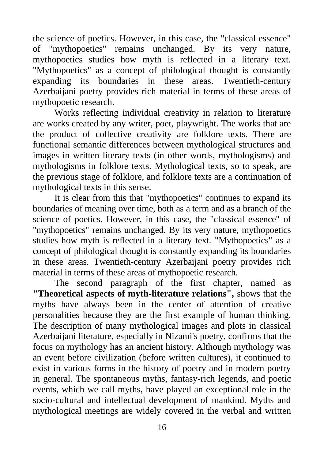the science of poetics. However, in this case, the "classical essence" of "mythopoetics" remains unchanged. By its very nature, mythopoetics studies how myth is reflected in a literary text. "Mythopoetics" as a concept of philological thought is constantly expanding its boundaries in these areas. Twentieth-century Azerbaijani poetry provides rich material in terms of these areas of mythopoetic research.

Works reflecting individual creativity in relation to literature are works created by any writer, poet, playwright. The works that are the product of collective creativity are folklore texts. There are functional semantic differences between mythological structures and images in written literary texts (in other words, mythologisms) and mythologisms in folklore texts. Mythological texts, so to speak, are the previous stage of folklore, and folklore texts are a continuation of mythological texts in this sense.

It is clear from this that "mythopoetics" continues to expand its boundaries of meaning over time, both as a term and as a branch of the science of poetics. However, in this case, the "classical essence" of "mythopoetics" remains unchanged. By its very nature, mythopoetics studies how myth is reflected in a literary text. "Mythopoetics" as a concept of philological thought is constantly expanding its boundaries in these areas. Twentieth-century Azerbaijani poetry provides rich material in terms of these areas of mythopoetic research.

The second paragraph of the first chapter, named a**s "Theoretical aspects of myth-literature relations",** shows that the myths have always been in the center of attention of creative personalities because they are the first example of human thinking. The description of many mythological images and plots in classical Azerbaijani literature, especially in Nizami's poetry, confirms that the focus on mythology has an ancient history. Although mythology was an event before civilization (before written cultures), it continued to exist in various forms in the history of poetry and in modern poetry in general. The spontaneous myths, fantasy-rich legends, and poetic events, which we call myths, have played an exceptional role in the socio-cultural and intellectual development of mankind. Myths and mythological meetings are widely covered in the verbal and written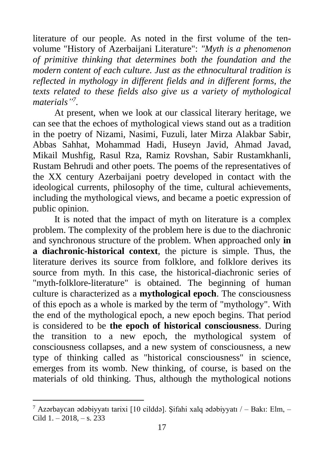literature of our people. As noted in the first volume of the tenvolume "History of Azerbaijani Literature": *"Myth is a phenomenon of primitive thinking that determines both the foundation and the modern content of each culture. Just as the ethnocultural tradition is reflected in mythology in different fields and in different forms, the texts related to these fields also give us a variety of mythological materials" 7 .*

At present, when we look at our classical literary heritage, we can see that the echoes of mythological views stand out as a tradition in the poetry of Nizami, Nasimi, Fuzuli, later Mirza Alakbar Sabir, Abbas Sahhat, Mohammad Hadi, Huseyn Javid, Ahmad Javad, Mikail Mushfig, Rasul Rza, Ramiz Rovshan, Sabir Rustamkhanli, Rustam Behrudi and other poets. The poems of the representatives of the XX century Azerbaijani poetry developed in contact with the ideological currents, philosophy of the time, cultural achievements, including the mythological views, and became a poetic expression of public opinion.

It is noted that the impact of myth on literature is a complex problem. The complexity of the problem here is due to the diachronic and synchronous structure of the problem. When approached only **in a diachronic-historical context**, the picture is simple. Thus, the literature derives its source from folklore, and folklore derives its source from myth. In this case, the historical-diachronic series of "myth-folklore-literature" is obtained. The beginning of human culture is characterized as a **mythological epoch**. The consciousness of this epoch as a whole is marked by the term of "mythology". With the end of the mythological epoch, a new epoch begins. That period is considered to be **the epoch of historical consciousness**. During the transition to a new epoch, the mythological system of consciousness collapses, and a new system of consciousness, a new type of thinking called as "historical consciousness" in science, emerges from its womb. New thinking, of course, is based on the materials of old thinking. Thus, although the mythological notions

<sup>&</sup>lt;sup>7</sup> Azərbaycan ədəbiyyatı tarixi [10 cilddə]. Sifahi xalq ədəbiyyatı  $/$  – Bakı: Elm, – Cild  $1, -2018, -8, 233$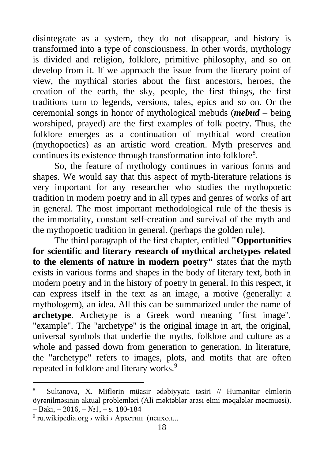disintegrate as a system, they do not disappear, and history is transformed into a type of consciousness. In other words, mythology is divided and religion, folklore, primitive philosophy, and so on develop from it. If we approach the issue from the literary point of view, the mythical stories about the first ancestors, heroes, the creation of the earth, the sky, people, the first things, the first traditions turn to legends, versions, tales, epics and so on. Or the ceremonial songs in honor of mythological mebuds (*mebud* – being worshiped, prayed) are the first examples of folk poetry. Thus, the folklore emerges as a continuation of mythical word creation (mythopoetics) as an artistic word creation. Myth preserves and continues its existence through transformation into folklore<sup>8</sup>.

So, the feature of mythology continues in various forms and shapes. We would say that this aspect of myth-literature relations is very important for any researcher who studies the mythopoetic tradition in modern poetry and in all types and genres of works of art in general. The most important methodological rule of the thesis is the immortality, constant self-creation and survival of the myth and the mythopoetic tradition in general. (perhaps the golden rule).

The third paragraph of the first chapter, entitled **"Opportunities for scientific and literary research of mythical archetypes related to the elements of nature in modern poetry"** states that the myth exists in various forms and shapes in the body of literary text, both in modern poetry and in the history of poetry in general. In this respect, it can express itself in the text as an image, a motive (generally: a mythologem), an idea. All this can be summarized under the name of **archetype**. Archetype is a Greek word meaning "first image", "example". The "archetype" is the original image in art, the original, universal symbols that underlie the myths, folklore and culture as a whole and passed down from generation to generation. In literature, the "archetype" refers to images, plots, and motifs that are often repeated in folklore and literary works.<sup>9</sup>

<sup>8</sup> Sultanova, X. Miflərin müasir ədəbiyyata təsiri // Humanitar elmlərin öyrənilməsinin aktual problemləri (Ali məktəblər arası elmi məqalələr məcmuəsi).  $-$  Bakı,  $-$  2016,  $-$  N<sup>o</sup><sub>1</sub>,  $-$  s. 180-184

<sup>&</sup>lt;sup>9</sup> ru.wikipedia.org > wiki > Архетип\_(психол...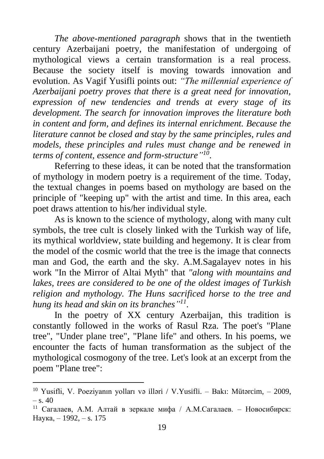*The above-mentioned paragraph* shows that in the twentieth century Azerbaijani poetry, the manifestation of undergoing of mythological views a certain transformation is a real process. Because the society itself is moving towards innovation and evolution. As Vagif Yusifli points out: *"The millennial experience of Azerbaijani poetry proves that there is a great need for innovation, expression of new tendencies and trends at every stage of its development. The search for innovation improves the literature both in content and form, and defines its internal enrichment. Because the literature cannot be closed and stay by the same principles, rules and models, these principles and rules must change and be renewed in terms of content, essence and form-structure" 10* .

Referring to these ideas, it can be noted that the transformation of mythology in modern poetry is a requirement of the time. Today, the textual changes in poems based on mythology are based on the principle of "keeping up" with the artist and time. In this area, each poet draws attention to his/her individual style.

As is known to the science of mythology, along with many cult symbols, the tree cult is closely linked with the Turkish way of life, its mythical worldview, state building and hegemony. It is clear from the model of the cosmic world that the tree is the image that connects man and God, the earth and the sky. A.M.Sagalayev notes in his work "In the Mirror of Altai Myth" that *"along with mountains and lakes, trees are considered to be one of the oldest images of Turkish religion and mythology. The Huns sacrificed horse to the tree and hung its head and skin on its branches" 11 .*

In the poetry of XX century Azerbaijan, this tradition is constantly followed in the works of Rasul Rza. The poet's "Plane tree", "Under plane tree", "Plane life" and others. In his poems, we encounter the facts of human transformation as the subject of the mythological cosmogony of the tree. Let's look at an excerpt from the poem "Plane tree":

<sup>&</sup>lt;sup>10</sup> Yusifli, V. Poeziyanın yolları və illəri / V.Yusifli. – Bakı: Mütərcim, – 2009,  $-$  s. 40

<sup>11</sup> Сагалаев, А.М. Алтай в зеркале мифа / А.М.Сагалаев. – Новосибирск: Наука, – 1992, – s. 175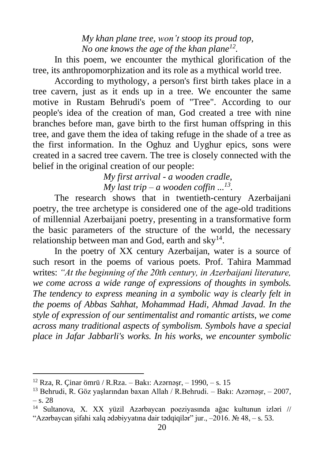*My khan plane tree, won't stoop its proud top, No one knows the age of the khan plane<sup>12</sup> .*

In this poem, we encounter the mythical glorification of the tree, its anthropomorphization and its role as a mythical world tree.

According to mythology, a person's first birth takes place in a tree cavern, just as it ends up in a tree. We encounter the same motive in Rustam Behrudi's poem of "Tree". According to our people's idea of the creation of man, God created a tree with nine branches before man, gave birth to the first human offspring in this tree, and gave them the idea of taking refuge in the shade of a tree as the first information. In the Oghuz and Uyghur epics, sons were created in a sacred tree cavern. The tree is closely connected with the belief in the original creation of our people:

> *My first arrival - a wooden cradle, My last trip – a wooden coffin ...<sup>13</sup> .*

The research shows that in twentieth-century Azerbaijani poetry, the tree archetype is considered one of the age-old traditions of millennial Azerbaijani poetry, presenting in a transformative form the basic parameters of the structure of the world, the necessary relationship between man and God, earth and  $\text{sky}^{14}$ .

In the poetry of XX century Azerbaijan, water is a source of such resort in the poems of various poets. Prof. Tahira Mammad writes: *"At the beginning of the 20th century, in Azerbaijani literature, we come across a wide range of expressions of thoughts in symbols. The tendency to express meaning in a symbolic way is clearly felt in the poems of Abbas Sahhat, Mohammad Hadi, Ahmad Javad. In the style of expression of our sentimentalist and romantic artists, we come across many traditional aspects of symbolism. Symbols have a special place in Jafar Jabbarli's works. In his works, we encounter symbolic* 

<sup>&</sup>lt;sup>12</sup> Rza, R. Cinar ömrü / R.Rza. – Bakı: Azərnəsr, – 1990, – s. 15

<sup>13</sup> Behrudi, R. Göz yaşlarından baxan Allah / R.Behrudi. – Bakı: Azərnəşr, – 2007, – s. 28

<sup>14</sup> Sultanova, X. XX yüzil Azərbaycan poeziyasında ağac kultunun izləri // "Azərbaycan şifahi xalq ədəbiyyatına dair tədqiqilər" jur.,  $-2016$ .  $\mathcal{N}_2$  48,  $-$  s. 53.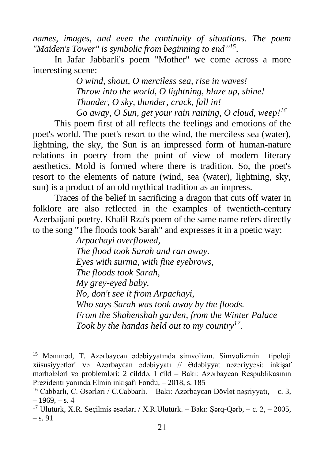*names, images, and even the continuity of situations. The poem*  "Maiden's Tower" is symbolic from beginning to end"<sup>15</sup>.

In Jafar Jabbarli's poem "Mother" we come across a more interesting scene:

> *O wind, shout, O merciless sea, rise in waves! Throw into the world, O lightning, blaze up, shine! Thunder, O sky, thunder, crack, fall in! Go away, O Sun, get your rain raining, O cloud, weep! 16*

This poem first of all reflects the feelings and emotions of the poet's world. The poet's resort to the wind, the merciless sea (water), lightning, the sky, the Sun is an impressed form of human-nature relations in poetry from the point of view of modern literary aesthetics. Mold is formed where there is tradition. So, the poet's resort to the elements of nature (wind, sea (water), lightning, sky, sun) is a product of an old mythical tradition as an impress.

Traces of the belief in sacrificing a dragon that cuts off water in folklore are also reflected in the examples of twentieth-century Azerbaijani poetry. Khalil Rza's poem of the same name refers directly to the song "The floods took Sarah" and expresses it in a poetic way:

> *Arpachayi overflowed, The flood took Sarah and ran away. Eyes with surma, with fine eyebrows, The floods took Sarah, My grey-eyed baby. No, don't see it from Arpachayi, Who says Sarah was took away by the floods. From the Shahenshah garden, from the Winter Palace Took by the handas held out to my country<sup>17</sup> .*

<sup>15</sup> Məmməd, T. Azərbaycan ədəbiyyatında simvolizm. Simvolizmin tipoloji xüsusiyyətləri və Azərbaycan ədəbiyyatı // Ədəbiyyat nəzəriyyəsi: inkişaf mərhələləri və problemləri: 2 cilddə. I cild – Bakı: Azərbaycan Respublikasının Prezidenti yanında Elmin inkişafı Fondu, – 2018, s. 185

<sup>16</sup> Cabbarlı, C. Əsərləri / C.Cabbarlı. – Bakı: Azərbaycan Dövlət nəşriyyatı, – c. 3,  $-1969 - s.4$ 

<sup>&</sup>lt;sup>17</sup> Ulutürk, X.R. Seçilmiş əsərləri / X.R.Ulutürk. – Bakı: Sərq-Qərb, – c. 2, – 2005, – s. 91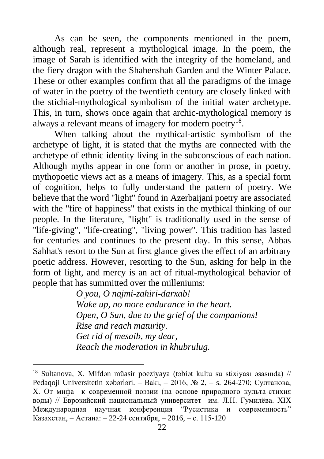As can be seen, the components mentioned in the poem, although real, represent a mythological image. In the poem, the image of Sarah is identified with the integrity of the homeland, and the fiery dragon with the Shahenshah Garden and the Winter Palace. These or other examples confirm that all the paradigms of the image of water in the poetry of the twentieth century are closely linked with the stichial-mythological symbolism of the initial water archetype. This, in turn, shows once again that archic-mythological memory is always a relevant means of imagery for modern poetry<sup>18</sup>.

When talking about the mythical-artistic symbolism of the archetype of light, it is stated that the myths are connected with the archetype of ethnic identity living in the subconscious of each nation. Although myths appear in one form or another in prose, in poetry, mythopoetic views act as a means of imagery. This, as a special form of cognition, helps to fully understand the pattern of poetry. We believe that the word "light" found in Azerbaijani poetry are associated with the "fire of happiness" that exists in the mythical thinking of our people. In the literature, "light" is traditionally used in the sense of "life-giving", "life-creating", "living power". This tradition has lasted for centuries and continues to the present day. In this sense, Abbas Sahhat's resort to the Sun at first glance gives the effect of an arbitrary poetic address. However, resorting to the Sun, asking for help in the form of light, and mercy is an act of ritual-mythological behavior of people that has summitted over the milleniums:

> *O you, O najmi-zahiri-darxab! Wake up, no more endurance in the heart. Open, O Sun, due to the grief of the companions! Rise and reach maturity. Get rid of mesaib, my dear, Reach the moderation in khubrulug.*

<sup>18</sup> Sultanova, X. Mifdən müasir poeziyaya (təbiət kultu su stixiyası əsasında) // Pedaqoji Universitetin xəbərləri. – Bakı, – 2016, № 2, – s. 264-270; Султанова, Х. От мифа к современной поэзии (на основе природного культа-стихия воды) // Еврозийский национальный университет им. Л.Н. Гумилёва. ХIX Mеждународная научная конференция "Русистикa и современность" Казахстан, – Астана: – 22-24 сентября, – 2016, – с. 115-120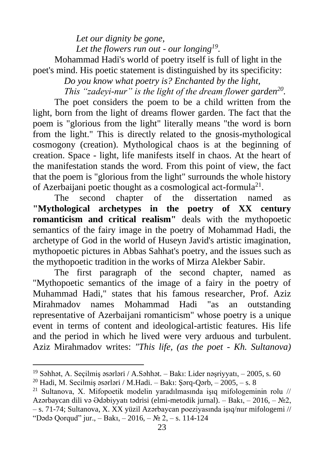*Let our dignity be gone, Let the flowers run out - our longing<sup>19</sup> .* Mohammad Hadi's world of poetry itself is full of light in the poet's mind. His poetic statement is distinguished by its specificity:

*Do you know what poetry is? Enchanted by the light,*

*This "zadeyi-nur" is the light of the dream flower garden<sup>20</sup> .*

The poet considers the poem to be a child written from the light, born from the light of dreams flower garden. The fact that the poem is "glorious from the light" literally means "the word is born from the light." This is directly related to the gnosis-mythological cosmogony (creation). Mythological chaos is at the beginning of creation. Space - light, life manifests itself in chaos. At the heart of the manifestation stands the word. From this point of view, the fact that the poem is "glorious from the light" surrounds the whole history of Azerbaijani poetic thought as a cosmological act-formula<sup>21</sup>.

The second chapter of the dissertation named as **"Mythological archetypes in the poetry of XX century romanticism and critical realism"** deals with the mythopoetic semantics of the fairy image in the poetry of Mohammad Hadi, the archetype of God in the world of Huseyn Javid's artistic imagination, mythopoetic pictures in Abbas Sahhat's poetry, and the issues such as the mythopoetic tradition in the works of Mirza Alekber Sabir.

The first paragraph of the second chapter, named as "Mythopoetic semantics of the image of a fairy in the poetry of Muhammad Hadi," states that his famous researcher, Prof. Aziz Mirahmadov names Mohammad Hadi "as an outstanding representative of Azerbaijani romanticism" whose poetry is a unique event in terms of content and ideological-artistic features. His life and the period in which he lived were very arduous and turbulent. Aziz Mirahmadov writes: *"This life, (as the poet - Kh. Sultanova)* 

 $19$  Səhhət, A. Seçilmiş əsərləri / A.Səhhət. – Bakı: Lider nəşriyyatı, – 2005, s. 60

 $^{20}$  Hadi, M. Secilmis əsərləri / M.Hadi. – Bakı: Sərq-Qərb, – 2005, – s. 8

 $^{21}$  Sultanova, X. Mifopoetik modelin yaradılmasında isıq mifologeminin rolu // Azərbaycan dili və Ədəbiyyatı tədrisi (elmi-metodik jurnal). – Bakı, – 2016, – №2, – s. 71-74; Sultanova, X. XX yüzil Azərbaycan poeziyasında işıq/nur mifologemi // "Dədə Oorqud" jur., – Bakı, – 2016, –  $\mathbb{N}^2$  2, – s. 114-124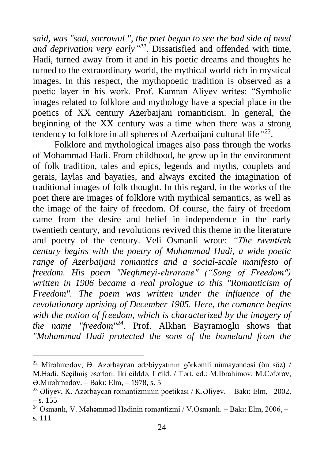*said, was "sad, sorrowul ", the poet began to see the bad side of need*  and deprivation very early<sup>"22</sup>. Dissatisfied and offended with time, Hadi, turned away from it and in his poetic dreams and thoughts he turned to the extraordinary world, the mythical world rich in mystical images. In this respect, the mythopoetic tradition is observed as a poetic layer in his work. Prof. Kamran Aliyev writes: "Symbolic images related to folklore and mythology have a special place in the poetics of XX century Azerbaijani romanticism. In general, the beginning of the XX century was a time when there was a strong tendency to folklore in all spheres of Azerbaijani cultural life*" 23* .

Folklore and mythological images also pass through the works of Mohammad Hadi. From childhood, he grew up in the environment of folk tradition, tales and epics, legends and myths, couplets and gerais, laylas and bayaties, and always excited the imagination of traditional images of folk thought. In this regard, in the works of the poet there are images of folklore with mythical semantics, as well as the image of the fairy of freedom. Of course, the fairy of freedom came from the desire and belief in independence in the early twentieth century, and revolutions revived this theme in the literature and poetry of the century. Veli Osmanli wrote: *"The twentieth century begins with the poetry of Mohammad Hadi, a wide poetic range of Azerbaijani romantics and a social-scale manifesto of freedom. His poem "Neghmeyi-ehrarane" ("Song of Freedom") written in 1906 became a real prologue to this "Romanticism of Freedom". The poem was written under the influence of the revolutionary uprising of December 1905. Here, the romance begins with the notion of freedom, which is characterized by the imagery of the name "freedom"<sup>24</sup> .* Prof. Alkhan Bayramoglu shows that *"Mohammad Hadi protected the sons of the homeland from the* 

 $^{22}$  Mirəhmədov,  $\Theta$ . Azərbaycan ədəbiyyatının görkəmli nümayəndəsi (ön söz) / M.Hadi. Seçilmiş əsərləri. İki cilddə, I cild. / Tərt. ed.: M.İbrahimov, M.Cəfərov, Ə.Mirəhmədov. – Bakı: Elm, – 1978, s. 5

<sup>&</sup>lt;sup>23</sup> Əliyev, K. Azərbaycan romantizminin poetikası / K.Əliyev. – Bakı: Elm, –2002, – s. 155

<sup>24</sup> Osmanlı, V. Məhəmməd Hadinin romantizmi / V.Osmanlı. – Bakı: Elm, 2006, – s. 111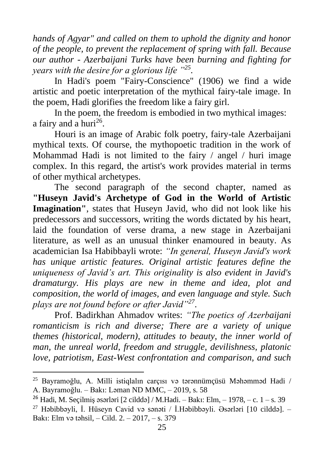*hands of Agyar" and called on them to uphold the dignity and honor of the people, to prevent the replacement of spring with fall. Because our author - Azerbaijani Turks have been burning and fighting for years with the desire for a glorious life "<sup>25</sup> .*

In Hadi's poem "Fairy-Conscience" (1906) we find a wide artistic and poetic interpretation of the mythical fairy-tale image. In the poem, Hadi glorifies the freedom like a fairy girl.

In the poem, the freedom is embodied in two mythical images: a fairy and a huri $^{26}$ .

Houri is an image of Arabic folk poetry, fairy-tale Azerbaijani mythical texts. Of course, the mythopoetic tradition in the work of Mohammad Hadi is not limited to the fairy / angel / huri image complex. In this regard, the artist's work provides material in terms of other mythical archetypes.

The second paragraph of the second chapter, named as **"Huseyn Javid's Archetype of God in the World of Artistic Imagination"**, states that Huseyn Javid, who did not look like his predecessors and successors, writing the words dictated by his heart, laid the foundation of verse drama, a new stage in Azerbaijani literature, as well as an unusual thinker enamoured in beauty. As academician Isa Habibbayli wrote: *"In general, Huseyn Javid's work has unique artistic features. Original artistic features define the uniqueness of Javid's art. This originality is also evident in Javid's dramaturgy. His plays are new in theme and idea, plot and composition, the world of images, and even language and style. Such plays are not found before or after Javid"<sup>27</sup>* .

Prof. Badirkhan Ahmadov writes: *"The poetics of Azerbaijani romanticism is rich and diverse; There are a variety of unique themes (historical, modern), attitudes to beauty, the inner world of man, the unreal world, freedom and struggle, devilishness, platonic love, patriotism, East-West confrontation and comparison, and such* 

<sup>25</sup> Bayramoğlu, A. Milli istiqlalın carçısı və tərənnümçüsü Məhəmməd Hadi / A. Bayramoğlu. – Bakı: Ləman ND MMC, – 2019, s. 58

<sup>&</sup>lt;sup>26</sup> Hadi, M. Seçilmiş əsərləri [2 cilddə] / M.Hadi. – Bakı: Elm, – 1978, – c. 1 – s. 39

<sup>&</sup>lt;sup>27</sup> Həbibbəyli, İ. Hüseyn Cavid və sənəti / İ.Həbibbəyli. Əsərləri [10 cilddə]. – Bakı: Elm və təhsil, – Cild. 2. – 2017, – s. 379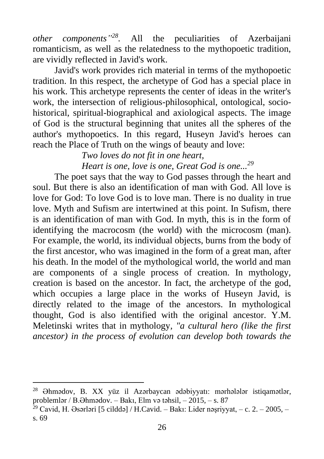*other components" 28 .* All the peculiarities of Azerbaijani romanticism, as well as the relatedness to the mythopoetic tradition, are vividly reflected in Javid's work.

Javid's work provides rich material in terms of the mythopoetic tradition. In this respect, the archetype of God has a special place in his work. This archetype represents the center of ideas in the writer's work, the intersection of religious-philosophical, ontological, sociohistorical, spiritual-biographical and axiological aspects. The image of God is the structural beginning that unites all the spheres of the author's mythopoetics. In this regard, Huseyn Javid's heroes can reach the Place of Truth on the wings of beauty and love:

> *Two loves do not fit in one heart, Heart is one, love is one, Great God is one... 29*

The poet says that the way to God passes through the heart and soul. But there is also an identification of man with God. All love is love for God: To love God is to love man. There is no duality in true love. Myth and Sufism are intertwined at this point. In Sufism, there is an identification of man with God. In myth, this is in the form of identifying the macrocosm (the world) with the microcosm (man). For example, the world, its individual objects, burns from the body of the first ancestor, who was imagined in the form of a great man, after his death. In the model of the mythological world, the world and man are components of a single process of creation. In mythology, creation is based on the ancestor. In fact, the archetype of the god, which occupies a large place in the works of Huseyn Javid, is directly related to the image of the ancestors. In mythological thought, God is also identified with the original ancestor. Y.M. Meletinski writes that in mythology*, "a cultural hero (like the first ancestor) in the process of evolution can develop both towards the* 

<sup>28</sup> Əhmədov, B. XX yüz il Azərbaycan ədəbiyyatı: mərhələlər istiqamətlər, problemlər / B.Əhmədov. – Bakı, Elm və təhsil, – 2015, – s. 87

 $29$  Cavid, H. Əsərləri [5 cilddə] / H.Cavid. – Bakı: Lider nəşriyyat, – c. 2. – 2005, – s. 69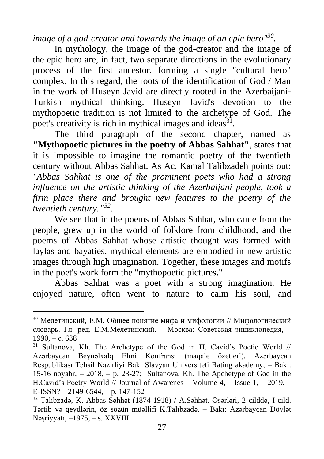*image of a god-creator and towards the image of an epic hero"<sup>30</sup> .*

In mythology, the image of the god-creator and the image of the epic hero are, in fact, two separate directions in the evolutionary process of the first ancestor, forming a single "cultural hero" complex. In this regard, the roots of the identification of God / Man in the work of Huseyn Javid are directly rooted in the Azerbaijani-Turkish mythical thinking. Huseyn Javid's devotion to the mythopoetic tradition is not limited to the archetype of God. The poet's creativity is rich in mythical images and ideas<sup>31</sup>.

The third paragraph of the second chapter, named as **"Mythopoetic pictures in the poetry of Abbas Sahhat"**, states that it is impossible to imagine the romantic poetry of the twentieth century without Abbas Sahhat. As Ac. Kamal Talibzadeh points out: *"Abbas Sahhat is one of the prominent poets who had a strong influence on the artistic thinking of the Azerbaijani people, took a firm place there and brought new features to the poetry of the twentieth century." 32* .

We see that in the poems of Abbas Sahhat, who came from the people, grew up in the world of folklore from childhood, and the poems of Abbas Sahhat whose artistic thought was formed with laylas and bayaties, mythical elements are embodied in new artistic images through high imagination. Together, these images and motifs in the poet's work form the "mythopoetic pictures."

Abbas Sahhat was a poet with a strong imagination. He enjoyed nature, often went to nature to calm his soul, and

<sup>30</sup> Мелетинский, Е.М. Общее понятие мифа и мифологии // Мифологический словарь. Гл. ред. Е.М.Мелетинский. – Москва: Советская энциклопедия, –  $1990 - c. 638$ 

<sup>31</sup> Sultanova, Kh. The Archetype of the God in H. Cavid's Poetic World // Azərbaycan Beynəlxalq Elmi Konfransı (maqale özetleri). Azərbaycan Respublikası Təhsil Nazirliyi Bakı Slavyan Universiteti Rating akademy, – Bakı: 15-16 noyabr,  $-2018$ ,  $- p. 23-27$ ; Sultanova, Kh. The Apchetype of God in the H.Cavid's Poetry World // Journal of Awarenes – Volume 4, – Issue 1, – 2019, – E-ISSN? – 2149-6544, – p. 147-152

<sup>32</sup> Talıbzadə, K. Abbas Səhhət (1874-1918) / A.Səhhət. Əsərləri, 2 cilddə, I cild. Tərtib və qeydlərin, öz sözün müəllifi K.Talıbzadə. – Bakı: Azərbaycan Dövlət Nəşriyyatı, –1975, – s. XXVIII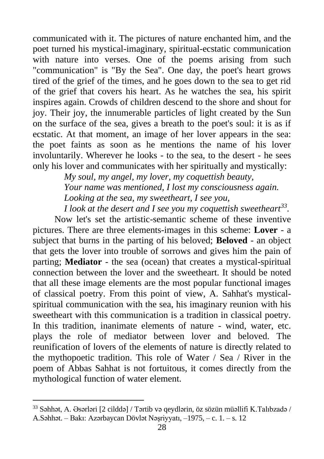communicated with it. The pictures of nature enchanted him, and the poet turned his mystical-imaginary, spiritual-ecstatic communication with nature into verses. One of the poems arising from such "communication" is "By the Sea". One day, the poet's heart grows tired of the grief of the times, and he goes down to the sea to get rid of the grief that covers his heart. As he watches the sea, his spirit inspires again. Crowds of children descend to the shore and shout for joy. Their joy, the innumerable particles of light created by the Sun on the surface of the sea, gives a breath to the poet's soul: it is as if ecstatic. At that moment, an image of her lover appears in the sea: the poet faints as soon as he mentions the name of his lover involuntarily. Wherever he looks - to the sea, to the desert - he sees only his lover and communicates with her spiritually and mystically:

> *My soul, my angel, my lover, my coquettish beauty, Your name was mentioned, I lost my consciousness again. Looking at the sea, my sweetheart, I see you, I look at the desert and I see you my coquettish sweetheart<sup>33</sup> .*

Now let's set the artistic-semantic scheme of these inventive pictures. There are three elements-images in this scheme: **Lover** - a subject that burns in the parting of his beloved; **Beloved** - an object that gets the lover into trouble of sorrows and gives him the pain of parting; **Mediator** - the sea (ocean) that creates a mystical-spiritual connection between the lover and the sweetheart. It should be noted that all these image elements are the most popular functional images of classical poetry. From this point of view, A. Sahhat's mysticalspiritual communication with the sea, his imaginary reunion with his sweetheart with this communication is a tradition in classical poetry. In this tradition, inanimate elements of nature - wind, water, etc. plays the role of mediator between lover and beloved. The reunification of lovers of the elements of nature is directly related to the mythopoetic tradition. This role of Water / Sea / River in the poem of Abbas Sahhat is not fortuitous, it comes directly from the mythological function of water element.

<sup>33</sup> Səhhət, A. Əsərləri [2 cilddə] / Tərtib və qeydlərin, öz sözün müəllifi K.Talıbzadə / A.Səhhət. – Bakı: Azərbaycan Dövlət Nəşriyyatı, –1975, – c. 1. – s. 12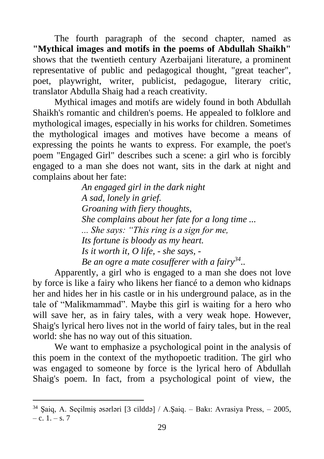The fourth paragraph of the second chapter, named as **"Mythical images and motifs in the poems of Abdullah Shaikh"** shows that the twentieth century Azerbaijani literature, a prominent representative of public and pedagogical thought, "great teacher", poet, playwright, writer, publicist, pedagogue, literary critic, translator Abdulla Shaig had a reach creativity.

Mythical images and motifs are widely found in both Abdullah Shaikh's romantic and children's poems. He appealed to folklore and mythological images, especially in his works for children. Sometimes the mythological images and motives have become a means of expressing the points he wants to express. For example, the poet's poem "Engaged Girl" describes such a scene: a girl who is forcibly engaged to a man she does not want, sits in the dark at night and complains about her fate:

> *An engaged girl in the dark night A sad, lonely in grief. Groaning with fiery thoughts, She complains about her fate for a long time ... ... She says: "This ring is a sign for me, Its fortune is bloody as my heart. Is it worth it, O life, - she says, - Be an ogre a mate cosufferer with a fairy<sup>34</sup> ..*

Apparently, a girl who is engaged to a man she does not love by force is like a fairy who likens her fiancé to a demon who kidnaps her and hides her in his castle or in his underground palace, as in the tale of "Malikmammad". Maybe this girl is waiting for a hero who will save her, as in fairy tales, with a very weak hope. However, Shaig's lyrical hero lives not in the world of fairy tales, but in the real world: she has no way out of this situation.

We want to emphasize a psychological point in the analysis of this poem in the context of the mythopoetic tradition. The girl who was engaged to someone by force is the lyrical hero of Abdullah Shaig's poem. In fact, from a psychological point of view, the

<sup>34</sup> Şaiq, A. Seçilmiş əsərləri [3 cilddə] / A.Şaiq. – Bakı: Avrasiya Press, – 2005,  $-c. 1, -s. 7$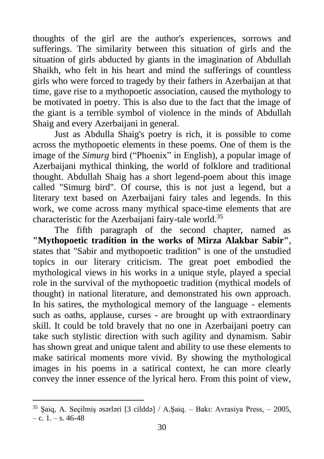thoughts of the girl are the author's experiences, sorrows and sufferings. The similarity between this situation of girls and the situation of girls abducted by giants in the imagination of Abdullah Shaikh, who felt in his heart and mind the sufferings of countless girls who were forced to tragedy by their fathers in Azerbaijan at that time, gave rise to a mythopoetic association, caused the mythology to be motivated in poetry. This is also due to the fact that the image of the giant is a terrible symbol of violence in the minds of Abdullah Shaig and every Azerbaijani in general.

Just as Abdulla Shaig's poetry is rich, it is possible to come across the mythopoetic elements in these poems. One of them is the image of the *Simurg* bird ("Phoenix" in English), a popular image of Azerbaijani mythical thinking, the world of folklore and traditional thought. Abdullah Shaig has a short legend-poem about this image called "Simurg bird". Of course, this is not just a legend, but a literary text based on Azerbaijani fairy tales and legends. In this work, we come across many mythical space-time elements that are characteristic for the Azerbaijani fairy-tale world.<sup>35</sup>

The fifth paragraph of the second chapter, named as **"Mythopoetic tradition in the works of Mirza Alakbar Sabir"**, states that "Sabir and mythopoetic tradition" is one of the unstudied topics in our literary criticism. The great poet embodied the mythological views in his works in a unique style, played a special role in the survival of the mythopoetic tradition (mythical models of thought) in national literature, and demonstrated his own approach. In his satires, the mythological memory of the language - elements such as oaths, applause, curses - are brought up with extraordinary skill. It could be told bravely that no one in Azerbaijani poetry can take such stylistic direction with such agility and dynamism. Sabir has shown great and unique talent and ability to use these elements to make satirical moments more vivid. By showing the mythological images in his poems in a satirical context, he can more clearly convey the inner essence of the lyrical hero. From this point of view,

<sup>35</sup> Şaiq, A. Seçilmiş əsərləri [3 cilddə] / A.Şaiq. – Bakı: Avrasiya Press, – 2005,  $-$  c. 1.  $-$  s. 46-48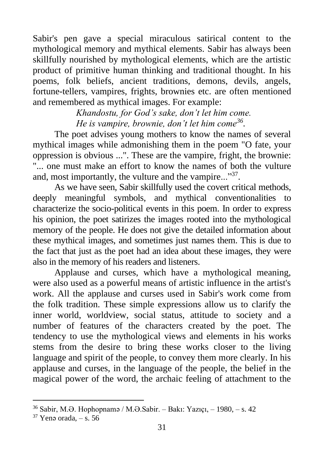Sabir's pen gave a special miraculous satirical content to the mythological memory and mythical elements. Sabir has always been skillfully nourished by mythological elements, which are the artistic product of primitive human thinking and traditional thought. In his poems, folk beliefs, ancient traditions, demons, devils, angels, fortune-tellers, vampires, frights, brownies etc. are often mentioned and remembered as mythical images. For example:

> *Khandostu, for God's sake, don't let him come. He is vampire, brownie, don't let him come<sup>36</sup> .*

The poet advises young mothers to know the names of several mythical images while admonishing them in the poem "O fate, your oppression is obvious ...". These are the vampire, fright, the brownie: "... one must make an effort to know the names of both the vulture and, most importantly, the vulture and the vampire..."<sup>37</sup>.

As we have seen, Sabir skillfully used the covert critical methods, deeply meaningful symbols, and mythical conventionalities to characterize the socio-political events in this poem. In order to express his opinion, the poet satirizes the images rooted into the mythological memory of the people. He does not give the detailed information about these mythical images, and sometimes just names them. This is due to the fact that just as the poet had an idea about these images, they were also in the memory of his readers and listeners.

Applause and curses, which have a mythological meaning, were also used as a powerful means of artistic influence in the artist's work. All the applause and curses used in Sabir's work come from the folk tradition. These simple expressions allow us to clarify the inner world, worldview, social status, attitude to society and a number of features of the characters created by the poet. The tendency to use the mythological views and elements in his works stems from the desire to bring these works closer to the living language and spirit of the people, to convey them more clearly. In his applause and curses, in the language of the people, the belief in the magical power of the word, the archaic feeling of attachment to the

<sup>36</sup> Sabir, M.Ə. Hophopnamə / M.Ə.Sabir. – Bakı: Yazıçı, – 1980, – s. 42

 $37$  Yenə orada,  $-$  s. 56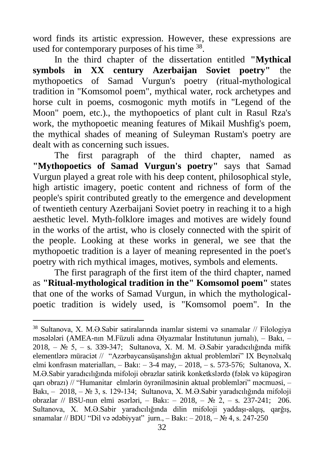word finds its artistic expression. However, these expressions are used for contemporary purposes of his time <sup>38</sup>.

In the third chapter of the dissertation entitled **"Mythical symbols in XX century Azerbaijan Soviet poetry"** the mythopoetics of Samad Vurgun's poetry (ritual-mythological tradition in "Komsomol poem", mythical water, rock archetypes and horse cult in poems, cosmogonic myth motifs in "Legend of the Moon" poem, etc.)., the mythopoetics of plant cult in Rasul Rza's work, the mythopoetic meaning features of Mikail Mushfig's poem, the mythical shades of meaning of Suleyman Rustam's poetry are dealt with as concerning such issues.

The first paragraph of the third chapter, named as **"Mythopoetics of Samad Vurgun's poetry"** says that Samad Vurgun played a great role with his deep content, philosophical style, high artistic imagery, poetic content and richness of form of the people's spirit contributed greatly to the emergence and development of twentieth century Azerbaijani Soviet poetry in reaching it to a high aesthetic level. Myth-folklore images and motives are widely found in the works of the artist, who is closely connected with the spirit of the people. Looking at these works in general, we see that the mythopoetic tradition is a layer of meaning represented in the poet's poetry with rich mythical images, motives, symbols and elements.

The first paragraph of the first item of the third chapter, named as **"Ritual-mythological tradition in the" Komsomol poem"** states that one of the works of Samad Vurgun, in which the mythologicalpoetic tradition is widely used, is "Komsomol poem". In the

<sup>38</sup> Sultanova, X. M.Ə.Sabir satiralarında inamlar sistemi və sınamalar // Filologiya məsələləri (AMEA-nın M.Füzuli adına Əlyazmalar İnstitutunun jurnalı), – Bakı, – 2018, – № 5, – s. 339-347; Sultanova, X. M. M. Ə.Sabir yaradıcılığında mifik elementlərə müraciət // "Azərbaycansüşanslığın aktual problemləri" IX Beynəlxalq elmi konfrasın materialları, – Bakı: – 3-4 may, – 2018, – s. 573-576; Sultanova, X. M.Ə.Sabir yaradıcılığında mifoloji obrazlar satirik konketkslərdə (fələk və küpəgirən qarı obrazı) // "Humanitar elmlərin öyrənilməsinin aktual problemləri" məcmuəsi, – Bakı, – 2018, – № 3, s. 129-134; Sultanova, X. M.Ə.Sabir yaradıcılığında mifoloji obrazlar // BSU-nun elmi əsərləri, – Bakı: – 2018, – № 2, – s. 237-241; 206. Sultanova, X. M.Ə.Sabir yaradıcılığında dilin mifoloji yaddaşı-alqış, qarğış, sınamalar // BDU "Dil və ədəbiyyat" jurn., – Bakı: – 2018, – № 4, s. 247-250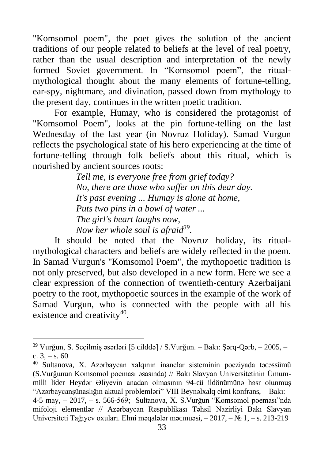"Komsomol poem", the poet gives the solution of the ancient traditions of our people related to beliefs at the level of real poetry, rather than the usual description and interpretation of the newly formed Soviet government. In "Komsomol poem", the ritualmythological thought about the many elements of fortune-telling, ear-spy, nightmare, and divination, passed down from mythology to the present day, continues in the written poetic tradition.

For example, Humay, who is considered the protagonist of "Komsomol Poem", looks at the pin fortune-telling on the last Wednesday of the last year (in Novruz Holiday). Samad Vurgun reflects the psychological state of his hero experiencing at the time of fortune-telling through folk beliefs about this ritual, which is nourished by ancient sources roots:

> *Tell me, is everyone free from grief today? No, there are those who suffer on this dear day. It's past evening ... Humay is alone at home, Puts two pins in a bowl of water ... The girl's heart laughs now, Now her whole soul is afraid<sup>39</sup> .*

It should be noted that the Novruz holiday, its ritualmythological characters and beliefs are widely reflected in the poem. In Samad Vurgun's "Komsomol Poem", the mythopoetic tradition is not only preserved, but also developed in a new form. Here we see a clear expression of the connection of twentieth-century Azerbaijani poetry to the root, mythopoetic sources in the example of the work of Samad Vurgun, who is connected with the people with all his existence and creativity<sup>40</sup>.

<sup>39</sup> Vurğun, S. Seçilmiş əsərləri [5 cilddə] / S.Vurğun. – Bakı: Şərq-Qərb, – 2005, – c.  $3, -s. 60$ 

<sup>40</sup> Sultanova, X. Azərbaycan xalqının inanclar sisteminin poeziyada təcəssümü (S.Vurğunun Komsomol poeması əsasında) // Bakı Slavyan Universitetinin Ümummilli lider Heydər Əliyevin anadan olmasının 94-cü ildönümünə həsr olunmuş "Azərbaycanşünaslığın aktual problemləri" VIII Beynəlxalq elmi konfrans, – Bakı: – 4-5 may, – 2017, – s. 566-569; Sultanova, X. S.Vurğun "Komsomol poeması"nda mifoloji elementlər // Azərbaycan Respublikası Təhsil Nazirliyi Bakı Slavyan Universiteti Tağıyev oxuları. Elmi məqalələr məcmuəsi, – 2017, – № 1, – s. 213-219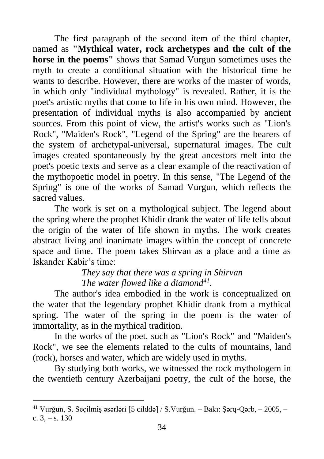The first paragraph of the second item of the third chapter, named as **"Mythical water, rock archetypes and the cult of the horse in the poems"** shows that Samad Vurgun sometimes uses the myth to create a conditional situation with the historical time he wants to describe. However, there are works of the master of words, in which only "individual mythology" is revealed. Rather, it is the poet's artistic myths that come to life in his own mind. However, the presentation of individual myths is also accompanied by ancient sources. From this point of view, the artist's works such as "Lion's Rock", "Maiden's Rock", "Legend of the Spring" are the bearers of the system of archetypal-universal, supernatural images. The cult images created spontaneously by the great ancestors melt into the poet's poetic texts and serve as a clear example of the reactivation of the mythopoetic model in poetry. In this sense, "The Legend of the Spring" is one of the works of Samad Vurgun, which reflects the sacred values.

The work is set on a mythological subject. The legend about the spring where the prophet Khidir drank the water of life tells about the origin of the water of life shown in myths. The work creates abstract living and inanimate images within the concept of concrete space and time. The poem takes Shirvan as a place and a time as Iskander Kabir's time:

> *They say that there was a spring in Shirvan The water flowed like a diamond<sup>41</sup> .*

The author's idea embodied in the work is conceptualized on the water that the legendary prophet Khidir drank from a mythical spring. The water of the spring in the poem is the water of immortality, as in the mythical tradition.

In the works of the poet, such as "Lion's Rock" and "Maiden's Rock", we see the elements related to the cults of mountains, land (rock), horses and water, which are widely used in myths.

By studying both works, we witnessed the rock mythologem in the twentieth century Azerbaijani poetry, the cult of the horse, the

<sup>41</sup> Vurğun, S. Seçilmiş əsərləri [5 cilddə] / S.Vurğun. – Bakı: Şərq-Qərb, – 2005, – c.  $3, -s$ . 130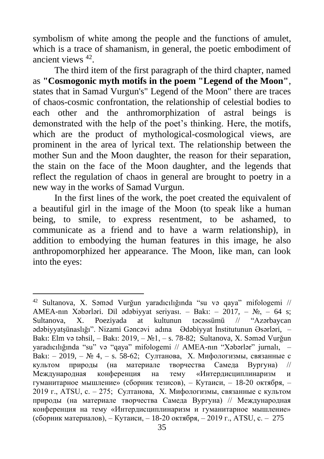symbolism of white among the people and the functions of amulet, which is a trace of shamanism, in general, the poetic embodiment of ancient views <sup>42</sup> .

The third item of the first paragraph of the third chapter, named as **"Cosmogonic myth motifs in the poem "Legend of the Moon"**, states that in Samad Vurgun's" Legend of the Moon" there are traces of chaos-cosmic confrontation, the relationship of celestial bodies to each other and the anthromorphization of astral beings is demonstrated with the help of the poet's thinking. Here, the motifs, which are the product of mythological-cosmological views, are prominent in the area of lyrical text. The relationship between the mother Sun and the Moon daughter, the reason for their separation, the stain on the face of the Moon daughter, and the legends that reflect the regulation of chaos in general are brought to poetry in a new way in the works of Samad Vurgun.

In the first lines of the work, the poet created the equivalent of a beautiful girl in the image of the Moon (to speak like a human being, to smile, to express resentment, to be ashamed, to communicate as a friend and to have a warm relationship), in addition to embodying the human features in this image, he also anthropomorphized her appearance. The Moon, like man, can look into the eyes:

<sup>42</sup> Sultanova, X. Səməd Vurğun yaradıcılığında "su və qaya" mifologemi // AMEA-nın Xəbərləri. Dil ədəbiyyat seriyası. – Bakı: – 2017, – №, – 64 s; Sultanova, X. Poeziyada at kultunun təcəssümü // "Azərbaycan ədəbiyyatşünaslığı". Nizami Gəncəvi adına Ədəbiyyat İnstitutunun Əsərləri, – Bakı: Elm və təhsil, – Bakı: 2019, – №1, – s. 78-82; Sultanova, X. Səməd Vurğun yaradıcılığında "su" və "qaya" mifologemi // AMEA-nın "Xəbərlər" jurnalı, – Bakı: – 2019, – № 4, – s. 58-62; Султанова, Х. Мифологизмы, связанные с культом природы (на материале творчества Самеда Вургуна) // Международная конференция на тему «Интердисциплинаризм и гуманитарное мышление» (cборник тезисов), – Кутаиси, – 18-20 октября, – 2019 г., АТSU, с. – 275; Султанова, Х. Мифологизмы, связанные с культом природы (на материале творчества Самеда Вургуна) // Международная конференция на тему «Интердисциплинаризм и гуманитарное мышление» (cборник материалов), – Кутаиси, – 18-20 октября, – 2019 г., АТSU, с. – 275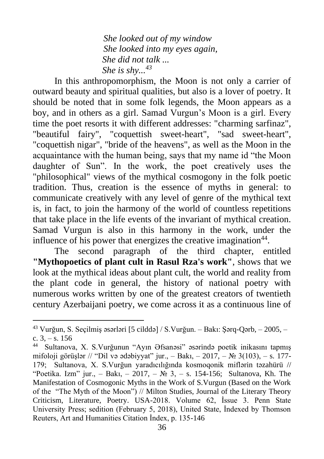*She looked out of my window She looked into my eyes again, She did not talk ... She is shy...<sup>43</sup>*

In this anthropomorphism, the Moon is not only a carrier of outward beauty and spiritual qualities, but also is a lover of poetry. It should be noted that in some folk legends, the Moon appears as a boy, and in others as a girl. Samad Vurgun's Moon is a girl. Every time the poet resorts it with different addresses: "charming sarfinaz", "beautiful fairy", "coquettish sweet-heart", "sad sweet-heart", "coquettish nigar", "bride of the heavens", as well as the Moon in the acquaintance with the human being, says that my name id "the Moon daughter of Sun". In the work, the poet creatively uses the "philosophical" views of the mythical cosmogony in the folk poetic tradition. Thus, creation is the essence of myths in general: to communicate creatively with any level of genre of the mythical text is, in fact, to join the harmony of the world of countless repetitions that take place in the life events of the invariant of mythical creation. Samad Vurgun is also in this harmony in the work, under the influence of his power that energizes the creative imagination $44$ .

The second paragraph of the third chapter, entitled **"Mythopoetics of plant cult in Rasul Rza's work"**, shows that we look at the mythical ideas about plant cult, the world and reality from the plant code in general, the history of national poetry with numerous works written by one of the greatest creators of twentieth century Azerbaijani poetry, we come across it as a continuous line of

<sup>43</sup> Vurğun, S. Seçilmiş əsərləri [5 cilddə] / S.Vurğun. – Bakı: Şərq-Qərb, – 2005, – c.  $3, -s$ , 156

<sup>44</sup> Sultanova, X. S.Vurğunun "Ayın Əfsanəsi" əsərində poetik inikasını tapmış mifoloji görüşlər // "Dil və ədəbiyyat" jur., – Bakı, – 2017, – № 3(103), – s. 177-179; Sultanova, X. S.Vurğun yaradıcılığında kosmoqonik miflərin təzahürü // "Poetika. Izm" jur., – Bakı, – 2017, – № 3, – s. 154-156; Sultanova, Kh. The Manifestation of Cosmogonic Myths in the Work of S.Vurgun (Based on the Work of the "The Myth of the Moon") // Milton Studies, Journal of the Literary Theory Criticism, Literature, Poetry. USA-2018. Volume 62, İssue 3. Penn State University Press; sedition (February 5, 2018), United State, İndexed by Thomson Reuters, Art and Humanities Citation İndex, p. 135-146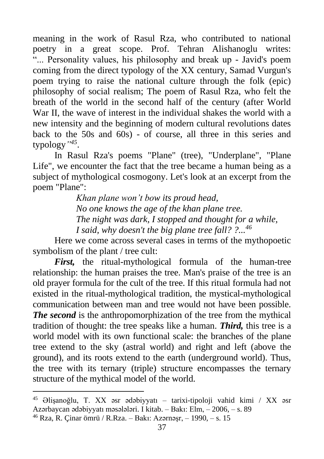meaning in the work of Rasul Rza, who contributed to national poetry in a great scope. Prof. Tehran Alishanoglu writes: "... Personality values, his philosophy and break up - Javid's poem coming from the direct typology of the XX century, Samad Vurgun's poem trying to raise the national culture through the folk (epic) philosophy of social realism; The poem of Rasul Rza, who felt the breath of the world in the second half of the century (after World War II, the wave of interest in the individual shakes the world with a new intensity and the beginning of modern cultural revolutions dates back to the 50s and 60s) - of course, all three in this series and typology*" 45* .

In Rasul Rza's poems "Plane" (tree), "Underplane", "Plane Life", we encounter the fact that the tree became a human being as a subject of mythological cosmogony. Let's look at an excerpt from the poem "Plane":

> *Khan plane won't bow its proud head, No one knows the age of the khan plane tree. The night was dark, I stopped and thought for a while, I said, why doesn't the big plane tree fall? ?...<sup>46</sup>*

Here we come across several cases in terms of the mythopoetic symbolism of the plant / tree cult:

*First,* the ritual-mythological formula of the human-tree relationship: the human praises the tree. Man's praise of the tree is an old prayer formula for the cult of the tree. If this ritual formula had not existed in the ritual-mythological tradition, the mystical-mythological communication between man and tree would not have been possible. *The second* is the anthropomorphization of the tree from the mythical tradition of thought: the tree speaks like a human. *Third,* this tree is a world model with its own functional scale: the branches of the plane tree extend to the sky (astral world) and right and left (above the ground), and its roots extend to the earth (underground world). Thus, the tree with its ternary (triple) structure encompasses the ternary structure of the mythical model of the world.

<sup>45</sup> Əlişanoğlu, T. XX əsr ədəbiyyatı – tarixi-tipoloji vahid kimi / XX əsr Azərbaycan ədəbiyyatı məsələləri. I kitab. – Bakı: Elm, – 2006, – s. 89

<sup>46</sup> Rza, R. Çinar ömrü / R.Rza. – Bakı: Azərnəşr, – 1990, – s. 15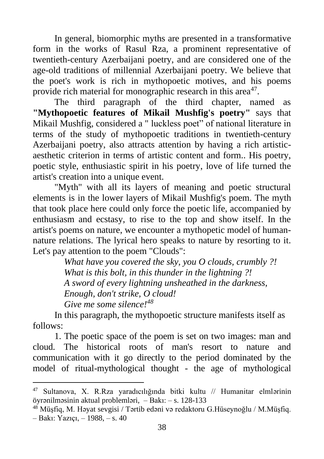In general, biomorphic myths are presented in a transformative form in the works of Rasul Rza, a prominent representative of twentieth-century Azerbaijani poetry, and are considered one of the age-old traditions of millennial Azerbaijani poetry. We believe that the poet's work is rich in mythopoetic motives, and his poems provide rich material for monographic research in this area<sup>47</sup>.

The third paragraph of the third chapter, named as **"Mythopoetic features of Mikail Mushfig's poetry"** says that Mikail Mushfig, considered a " luckless poet" of national literature in terms of the study of mythopoetic traditions in twentieth-century Azerbaijani poetry, also attracts attention by having a rich artisticaesthetic criterion in terms of artistic content and form.. His poetry, poetic style, enthusiastic spirit in his poetry, love of life turned the artist's creation into a unique event.

"Myth" with all its layers of meaning and poetic structural elements is in the lower layers of Mikail Mushfig's poem. The myth that took place here could only force the poetic life, accompanied by enthusiasm and ecstasy, to rise to the top and show itself. In the artist's poems on nature, we encounter a mythopetic model of humannature relations. The lyrical hero speaks to nature by resorting to it. Let's pay attention to the poem "Clouds":

> *What have you covered the sky, you O clouds, crumbly ?! What is this bolt, in this thunder in the lightning ?! A sword of every lightning unsheathed in the darkness, Enough, don't strike, O cloud! Give me some silence!<sup>48</sup>*

In this paragraph, the mythopoetic structure manifests itself as follows:

1. The poetic space of the poem is set on two images: man and cloud. The historical roots of man's resort to nature and communication with it go directly to the period dominated by the model of ritual-mythological thought - the age of mythological

<sup>47</sup> Sultanova, X. R.Rza yaradıcılığında bitki kultu // Humanitar elmlərinin öyrənilməsinin aktual problemləri, – Bakı: – s. 128-133

<sup>48</sup> Müşfiq, M. Həyat sevgisi / Tərtib edəni və redaktoru G.Hüseynoğlu / M.Müşfiq. – Bakı: Yazıçı, – 1988, – s. 40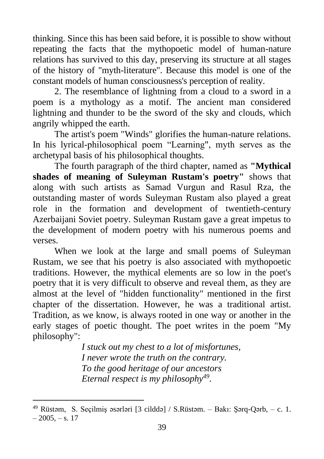thinking. Since this has been said before, it is possible to show without repeating the facts that the mythopoetic model of human-nature relations has survived to this day, preserving its structure at all stages of the history of "myth-literature". Because this model is one of the constant models of human consciousness's perception of reality.

2. The resemblance of lightning from a cloud to a sword in a poem is a mythology as a motif. The ancient man considered lightning and thunder to be the sword of the sky and clouds, which angrily whipped the earth.

The artist's poem "Winds" glorifies the human-nature relations. In his lyrical-philosophical poem "Learning", myth serves as the archetypal basis of his philosophical thoughts.

The fourth paragraph of the third chapter, named as **"Mythical shades of meaning of Suleyman Rustam's poetry"** shows that along with such artists as Samad Vurgun and Rasul Rza, the outstanding master of words Suleyman Rustam also played a great role in the formation and development of twentieth-century Azerbaijani Soviet poetry. Suleyman Rustam gave a great impetus to the development of modern poetry with his numerous poems and verses.

When we look at the large and small poems of Suleyman Rustam, we see that his poetry is also associated with mythopoetic traditions. However, the mythical elements are so low in the poet's poetry that it is very difficult to observe and reveal them, as they are almost at the level of "hidden functionality" mentioned in the first chapter of the dissertation. However, he was a traditional artist. Tradition, as we know, is always rooted in one way or another in the early stages of poetic thought. The poet writes in the poem "My philosophy":

> *I stuck out my chest to a lot of misfortunes, I never wrote the truth on the contrary. To the good heritage of our ancestors Eternal respect is my philosophy<sup>49</sup> .*

<sup>&</sup>lt;sup>49</sup> Rüstəm, S. Seçilmiş əsərləri [3 cilddə] / S.Rüstəm. – Bakı: Sərq-Qərb, – c. 1.  $-2005, -s, 17$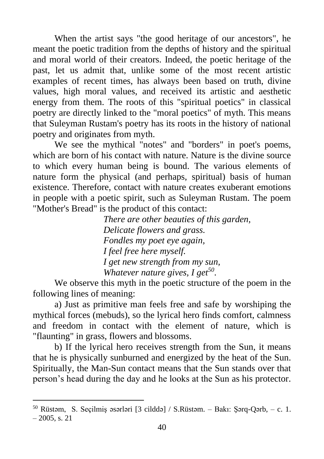When the artist says "the good heritage of our ancestors", he meant the poetic tradition from the depths of history and the spiritual and moral world of their creators. Indeed, the poetic heritage of the past, let us admit that, unlike some of the most recent artistic examples of recent times, has always been based on truth, divine values, high moral values, and received its artistic and aesthetic energy from them. The roots of this "spiritual poetics" in classical poetry are directly linked to the "moral poetics" of myth. This means that Suleyman Rustam's poetry has its roots in the history of national poetry and originates from myth.

We see the mythical "notes" and "borders" in poet's poems, which are born of his contact with nature. Nature is the divine source to which every human being is bound. The various elements of nature form the physical (and perhaps, spiritual) basis of human existence. Therefore, contact with nature creates exuberant emotions in people with a poetic spirit, such as Suleyman Rustam. The poem "Mother's Bread" is the product of this contact:

> *There are other beauties of this garden, Delicate flowers and grass. Fondles my poet eye again, I feel free here myself. I get new strength from my sun, Whatever nature gives, I get<sup>50</sup> .*

We observe this myth in the poetic structure of the poem in the following lines of meaning:

a) Just as primitive man feels free and safe by worshiping the mythical forces (mebuds), so the lyrical hero finds comfort, calmness and freedom in contact with the element of nature, which is "flaunting" in grass, flowers and blossoms.

b) If the lyrical hero receives strength from the Sun, it means that he is physically sunburned and energized by the heat of the Sun. Spiritually, the Man-Sun contact means that the Sun stands over that person's head during the day and he looks at the Sun as his protector.

<sup>&</sup>lt;sup>50</sup> Rüstəm, S. Seçilmiş əsərləri [3 cilddə] / S.Rüstəm. – Bakı: Sərq-Qərb, – c. 1.  $-2005$ , s. 21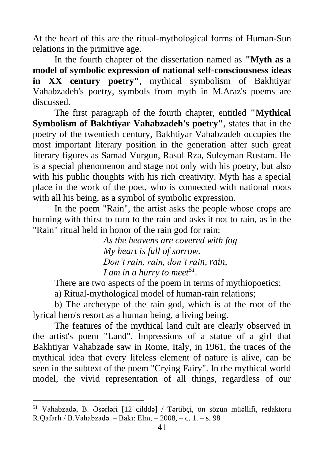At the heart of this are the ritual-mythological forms of Human-Sun relations in the primitive age.

In the fourth chapter of the dissertation named as **"Myth as a model of symbolic expression of national self-consciousness ideas in XX century poetry"**, mythical symbolism of Bakhtiyar Vahabzadeh's poetry, symbols from myth in M.Araz's poems are discussed.

The first paragraph of the fourth chapter, entitled **"Mythical Symbolism of Bakhtiyar Vahabzadeh's poetry"**, states that in the poetry of the twentieth century, Bakhtiyar Vahabzadeh occupies the most important literary position in the generation after such great literary figures as Samad Vurgun, Rasul Rza, Suleyman Rustam. He is a special phenomenon and stage not only with his poetry, but also with his public thoughts with his rich creativity. Myth has a special place in the work of the poet, who is connected with national roots with all his being, as a symbol of symbolic expression.

In the poem "Rain", the artist asks the people whose crops are burning with thirst to turn to the rain and asks it not to rain, as in the "Rain" ritual held in honor of the rain god for rain:

> *As the heavens are covered with fog My heart is full of sorrow. Don't rain, rain, don't rain, rain, I am in a hurry to meet<sup>51</sup> .*

There are two aspects of the poem in terms of mythiopoetics:

a) Ritual-mythological model of human-rain relations;

b) The archetype of the rain god, which is at the root of the lyrical hero's resort as a human being, a living being.

The features of the mythical land cult are clearly observed in the artist's poem "Land". Impressions of a statue of a girl that Bakhtiyar Vahabzade saw in Rome, Italy, in 1961, the traces of the mythical idea that every lifeless element of nature is alive, can be seen in the subtext of the poem "Crying Fairy". In the mythical world model, the vivid representation of all things, regardless of our

<sup>51</sup> Vahabzadə, B. Əsərləri [12 cilddə] / Tərtibçi, ön sözün müəllifi, redaktoru R.Qafarlı / B.Vahabzadə. – Bakı: Elm, – 2008, – c. 1. – s. 98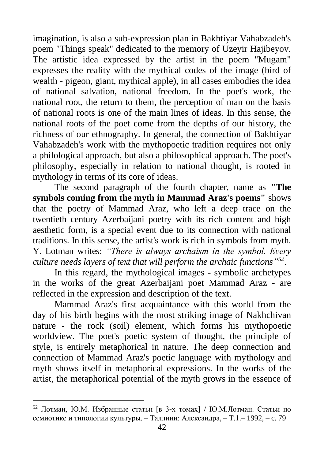imagination, is also a sub-expression plan in Bakhtiyar Vahabzadeh's poem "Things speak" dedicated to the memory of Uzeyir Hajibeyov. The artistic idea expressed by the artist in the poem "Mugam" expresses the reality with the mythical codes of the image (bird of wealth - pigeon, giant, mythical apple), in all cases embodies the idea of national salvation, national freedom. In the poet's work, the national root, the return to them, the perception of man on the basis of national roots is one of the main lines of ideas. In this sense, the national roots of the poet come from the depths of our history, the richness of our ethnography. In general, the connection of Bakhtiyar Vahabzadeh's work with the mythopoetic tradition requires not only a philological approach, but also a philosophical approach. The poet's philosophy, especially in relation to national thought, is rooted in mythology in terms of its core of ideas.

The second paragraph of the fourth chapter, name as **"The symbols coming from the myth in Mammad Araz's poems"** shows that the poetry of Mammad Araz, who left a deep trace on the twentieth century Azerbaijani poetry with its rich content and high aesthetic form, is a special event due to its connection with national traditions. In this sense, the artist's work is rich in symbols from myth. Y. Lotman writes: *"There is always archaism in the symbol. Every culture needs layers of text that will perform the archaic functions" 52* .

In this regard, the mythological images - symbolic archetypes in the works of the great Azerbaijani poet Mammad Araz - are reflected in the expression and description of the text.

Mammad Araz's first acquaintance with this world from the day of his birth begins with the most striking image of Nakhchivan nature - the rock (soil) element, which forms his mythopoetic worldview. The poet's poetic system of thought, the principle of style, is entirely metaphorical in nature. The deep connection and connection of Mammad Araz's poetic language with mythology and myth shows itself in metaphorical expressions. In the works of the artist, the metaphorical potential of the myth grows in the essence of

<sup>52</sup> Лотман, Ю.М. Избранные статьи [в 3-х томах] / Ю.М.Лотман. Статьи по семиотике и типологии культуры. – Таллинн: Александра, – Т.1.– 1992, – c. 79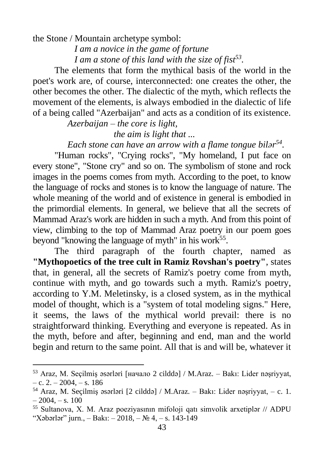the Stone / Mountain archetype symbol:

*I am a novice in the game of fortune I am a stone of this land with the size of fist<sup>53</sup> .*

The elements that form the mythical basis of the world in the poet's work are, of course, interconnected: one creates the other, the other becomes the other. The dialectic of the myth, which reflects the movement of the elements, is always embodied in the dialectic of life of a being called "Azerbaijan" and acts as a condition of its existence.

> *Azerbaijan – the core is light, the aim is light that ...*

*Each stone can have an arrow with a flame tongue bilər 54 .*

"Human rocks", "Crying rocks", "My homeland, I put face on every stone", "Stone cry" and so on. The symbolism of stone and rock images in the poems comes from myth. According to the poet, to know the language of rocks and stones is to know the language of nature. The whole meaning of the world and of existence in general is embodied in the primordial elements. In general, we believe that all the secrets of Mammad Araz's work are hidden in such a myth. And from this point of view, climbing to the top of Mammad Araz poetry in our poem goes beyond "knowing the language of myth" in his work<sup>55</sup>.

The third paragraph of the fourth chapter, named as **"Mythopoetics of the tree cult in Ramiz Rovshan's poetry"**, states that, in general, all the secrets of Ramiz's poetry come from myth, continue with myth, and go towards such a myth. Ramiz's poetry, according to Y.M. Meletinsky, is a closed system, as in the mythical model of thought, which is a "system of total modeling signs." Here, it seems, the laws of the mythical world prevail: there is no straightforward thinking. Everything and everyone is repeated. As in the myth, before and after, beginning and end, man and the world begin and return to the same point. All that is and will be, whatever it

<sup>53</sup> Araz, M. Seçilmiş əsərləri [начало 2 cilddə] / M.Araz. – Bakı: Lider nəşriyyat,  $-$  c. 2.  $-$  2004,  $-$  s. 186

<sup>54</sup> Araz, M. Seçilmiş əsərləri [2 cilddə] / M.Araz. – Bakı: Lider nəşriyyat, – c. 1.  $-2004, -s. 100$ 

<sup>55</sup> Sultanova, X. M. Araz poeziyasının mifoloji qatı simvolik arxetiplər // ADPU "Xəbərlər" jurn., – Bakı: – 2018, – № 4, – s. 143-149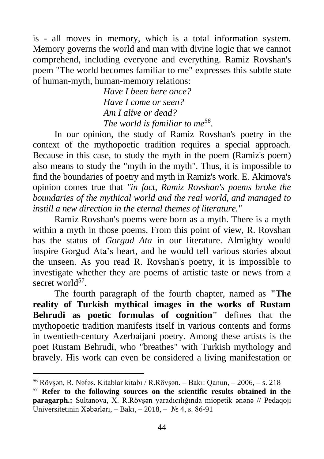is - all moves in memory, which is a total information system. Memory governs the world and man with divine logic that we cannot comprehend, including everyone and everything. Ramiz Rovshan's poem "The world becomes familiar to me" expresses this subtle state of human-myth, human-memory relations:

> *Have I been here once? Have I come or seen? Am I alive or dead? The world is familiar to me<sup>56</sup> .*

In our opinion, the study of Ramiz Rovshan's poetry in the context of the mythopoetic tradition requires a special approach. Because in this case, to study the myth in the poem (Ramiz's poem) also means to study the "myth in the myth". Thus, it is impossible to find the boundaries of poetry and myth in Ramiz's work. E. Akimova's opinion comes true that *"in fact, Ramiz Rovshan's poems broke the boundaries of the mythical world and the real world, and managed to instill a new direction in the eternal themes of literature."*

Ramiz Rovshan's poems were born as a myth. There is a myth within a myth in those poems. From this point of view, R. Rovshan has the status of *Gorgud Ata* in our literature. Almighty would inspire Gorgud Ata's heart, and he would tell various stories about the unseen. As you read R. Rovshan's poetry, it is impossible to investigate whether they are poems of artistic taste or news from a secret world<sup>57</sup>.

The fourth paragraph of the fourth chapter, named as **"The reality of Turkish mythical images in the works of Rustam Behrudi as poetic formulas of cognition"** defines that the mythopoetic tradition manifests itself in various contents and forms in twentieth-century Azerbaijani poetry. Among these artists is the poet Rustam Behrudi, who "breathes" with Turkish mythology and bravely. His work can even be considered a living manifestation or

<sup>56</sup> Rövşən, R. Nəfəs. Kitablar kitabı / R.Rövşən. – Bakı: Qanun, – 2006, – s. 218

<sup>57</sup> **Refer to the following sources on the scientific results obtained in the paragarph.:** Sultanova, X. R.Rövşən yaradıcılığında miopetik ənənə // Pedaqoji Universitetinin Xəbərləri, – Bakı, – 2018, – № 4, s. 86-91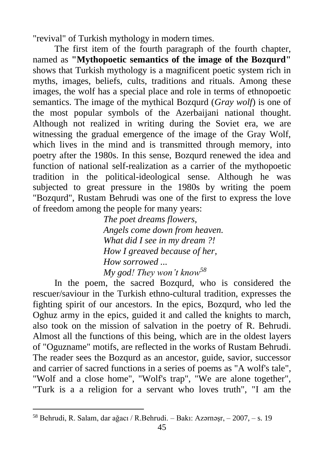"revival" of Turkish mythology in modern times.

The first item of the fourth paragraph of the fourth chapter, named as **"Mythopoetic semantics of the image of the Bozqurd"** shows that Turkish mythology is a magnificent poetic system rich in myths, images, beliefs, cults, traditions and rituals. Among these images, the wolf has a special place and role in terms of ethnopoetic semantics. The image of the mythical Bozqurd (*Gray wolf*) is one of the most popular symbols of the Azerbaijani national thought. Although not realized in writing during the Soviet era, we are witnessing the gradual emergence of the image of the Gray Wolf, which lives in the mind and is transmitted through memory, into poetry after the 1980s. In this sense, Bozqurd renewed the idea and function of national self-realization as a carrier of the mythopoetic tradition in the political-ideological sense. Although he was subjected to great pressure in the 1980s by writing the poem "Bozqurd", Rustam Behrudi was one of the first to express the love of freedom among the people for many years:

> *The poet dreams flowers, Angels come down from heaven. What did I see in my dream ?! How I greaved because of her, How sorrowed ... My god! They won't know<sup>58</sup>*

In the poem, the sacred Bozqurd, who is considered the rescuer/saviour in the Turkish ethno-cultural tradition, expresses the fighting spirit of our ancestors. In the epics, Bozqurd, who led the Oghuz army in the epics, guided it and called the knights to march, also took on the mission of salvation in the poetry of R. Behrudi. Almost all the functions of this being, which are in the oldest layers of "Oguzname" motifs, are reflected in the works of Rustam Behrudi. The reader sees the Bozqurd as an ancestor, guide, savior, successor and carrier of sacred functions in a series of poems as "A wolf's tale", "Wolf and a close home", "Wolf's trap", "We are alone together", "Turk is a a religion for a servant who loves truth", "I am the

<sup>58</sup> Behrudi, R. Salam, dar ağacı / R.Behrudi. – Bakı: Azərnəşr, – 2007, – s. 19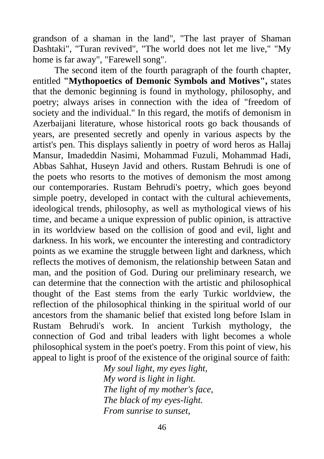grandson of a shaman in the land", "The last prayer of Shaman Dashtaki", "Turan revived", "The world does not let me live," "My home is far away", "Farewell song".

The second item of the fourth paragraph of the fourth chapter, entitled **"Mythopoetics of Demonic Symbols and Motives",** states that the demonic beginning is found in mythology, philosophy, and poetry; always arises in connection with the idea of "freedom of society and the individual." In this regard, the motifs of demonism in Azerbaijani literature, whose historical roots go back thousands of years, are presented secretly and openly in various aspects by the artist's pen. This displays saliently in poetry of word heros as Hallaj Mansur, Imadeddin Nasimi, Mohammad Fuzuli, Mohammad Hadi, Abbas Sahhat, Huseyn Javid and others. Rustam Behrudi is one of the poets who resorts to the motives of demonism the most among our contemporaries. Rustam Behrudi's poetry, which goes beyond simple poetry, developed in contact with the cultural achievements, ideological trends, philosophy, as well as mythological views of his time, and became a unique expression of public opinion, is attractive in its worldview based on the collision of good and evil, light and darkness. In his work, we encounter the interesting and contradictory points as we examine the struggle between light and darkness, which reflects the motives of demonism, the relationship between Satan and man, and the position of God. During our preliminary research, we can determine that the connection with the artistic and philosophical thought of the East stems from the early Turkic worldview, the reflection of the philosophical thinking in the spiritual world of our ancestors from the shamanic belief that existed long before Islam in Rustam Behrudi's work. In ancient Turkish mythology, the connection of God and tribal leaders with light becomes a whole philosophical system in the poet's poetry. From this point of view, his appeal to light is proof of the existence of the original source of faith:

*My soul light, my eyes light, My word is light in light. The light of my mother's face, The black of my eyes-light. From sunrise to sunset,*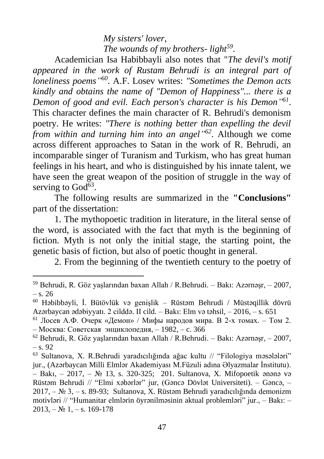*My sisters' lover, The wounds of my brothers- light<sup>59</sup> .*

Academician Isa Habibbayli also notes that "*The devil's motif appeared in the work of Rustam Behrudi is an integral part of loneliness poems" 60 .* A.F. Losev writes: *"Sometimes the Demon acts kindly and obtains the name of "Demon of Happiness"... there is a Demon of good and evil. Each person's character is his Demon" 61* . This character defines the main character of R. Behrudi's demonism poetry. He writes: *"There is nothing better than expelling the devil from within and turning him into an angel" 62* . Although we come across different approaches to Satan in the work of R. Behrudi, an incomparable singer of Turanism and Turkism, who has great human feelings in his heart, and who is distinguished by his innate talent, we have seen the great weapon of the position of struggle in the way of serving to God<sup>63</sup>.

The following results are summarized in the **"Conclusions"** part of the dissertation:

1. The mythopoetic tradition in literature, in the literal sense of the word, is associated with the fact that myth is the beginning of fiction. Myth is not only the initial stage, the starting point, the genetic basis of fiction, but also of poetic thought in general.

2. From the beginning of the twentieth century to the poetry of

 $59$  Behrudi, R. Göz yaşlarından baxan Allah / R.Behrudi. – Bakı: Azərnəsr, – 2007, – s. 26

<sup>60</sup> Həbibbəyli, İ. Bütövlük və genişlik – Rüstəm Behrudi / Müstəqillik dövrü Azərbaycan ədəbiyyatı. 2 cilddə. II cild. – Bakı: Elm və təhsil, – 2016, – s. 651

 $61$  Лосев А.Ф. Очерк «Демон» / Мифы народов мира. В 2-х томах. – Том 2. – Москва: Советская энциклопедия, – 1982, – c. 366

 $62$  Behrudi, R. Göz yaşlarından baxan Allah / R.Behrudi. – Bakı: Azərnəsr, – 2007,  $-$  s. 92

<sup>63</sup> Sultanova, X. R.Behrudi yaradıcılığında ağac kultu // "Filologiya məsələləri" jur., (Azərbaycan Milli Elmlər Akademiyası M.Füzuli adına Əlyazmalar İnstitutu). – Bakı, – 2017, – № 13, s. 320-325; 201. Sultanova, X. Mifopoetik ənənə və Rüstəm Behrudi // "Elmi xəbərlər" jur, (Gəncə Dövlət Universiteti). – Gəncə, – 2017, – № 3, – s. 89-93; Sultanova, X. Rüstəm Behrudi yaradıcılığında demonizm motivləri // "Humanitar elmlərin öyrənilməsinin aktual problemləri" jur., – Bakı: –  $2013, -N_2$  1, - s. 169-178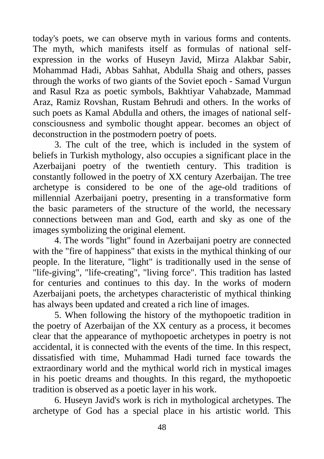today's poets, we can observe myth in various forms and contents. The myth, which manifests itself as formulas of national selfexpression in the works of Huseyn Javid, Mirza Alakbar Sabir, Mohammad Hadi, Abbas Sahhat, Abdulla Shaig and others, passes through the works of two giants of the Soviet epoch - Samad Vurgun and Rasul Rza as poetic symbols, Bakhtiyar Vahabzade, Mammad Araz, Ramiz Rovshan, Rustam Behrudi and others. In the works of such poets as Kamal Abdulla and others, the images of national selfconsciousness and symbolic thought appear. becomes an object of deconstruction in the postmodern poetry of poets.

3. The cult of the tree, which is included in the system of beliefs in Turkish mythology, also occupies a significant place in the Azerbaijani poetry of the twentieth century. This tradition is constantly followed in the poetry of XX century Azerbaijan. The tree archetype is considered to be one of the age-old traditions of millennial Azerbaijani poetry, presenting in a transformative form the basic parameters of the structure of the world, the necessary connections between man and God, earth and sky as one of the images symbolizing the original element.

4. The words "light" found in Azerbaijani poetry are connected with the "fire of happiness" that exists in the mythical thinking of our people. In the literature, "light" is traditionally used in the sense of "life-giving", "life-creating", "living force". This tradition has lasted for centuries and continues to this day. In the works of modern Azerbaijani poets, the archetypes characteristic of mythical thinking has always been updated and created a rich line of images.

5. When following the history of the mythopoetic tradition in the poetry of Azerbaijan of the XX century as a process, it becomes clear that the appearance of mythopoetic archetypes in poetry is not accidental, it is connected with the events of the time. In this respect, dissatisfied with time, Muhammad Hadi turned face towards the extraordinary world and the mythical world rich in mystical images in his poetic dreams and thoughts. In this regard, the mythopoetic tradition is observed as a poetic layer in his work.

6. Huseyn Javid's work is rich in mythological archetypes. The archetype of God has a special place in his artistic world. This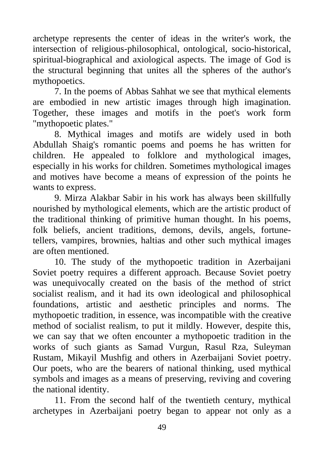archetype represents the center of ideas in the writer's work, the intersection of religious-philosophical, ontological, socio-historical, spiritual-biographical and axiological aspects. The image of God is the structural beginning that unites all the spheres of the author's mythopoetics.

7. In the poems of Abbas Sahhat we see that mythical elements are embodied in new artistic images through high imagination. Together, these images and motifs in the poet's work form "mythopoetic plates."

8. Mythical images and motifs are widely used in both Abdullah Shaig's romantic poems and poems he has written for children. He appealed to folklore and mythological images, especially in his works for children. Sometimes mythological images and motives have become a means of expression of the points he wants to express.

9. Mirza Alakbar Sabir in his work has always been skillfully nourished by mythological elements, which are the artistic product of the traditional thinking of primitive human thought. In his poems, folk beliefs, ancient traditions, demons, devils, angels, fortunetellers, vampires, brownies, haltias and other such mythical images are often mentioned.

10. The study of the mythopoetic tradition in Azerbaijani Soviet poetry requires a different approach. Because Soviet poetry was unequivocally created on the basis of the method of strict socialist realism, and it had its own ideological and philosophical foundations, artistic and aesthetic principles and norms. The mythopoetic tradition, in essence, was incompatible with the creative method of socialist realism, to put it mildly. However, despite this, we can say that we often encounter a mythopoetic tradition in the works of such giants as Samad Vurgun, Rasul Rza, Suleyman Rustam, Mikayil Mushfig and others in Azerbaijani Soviet poetry. Our poets, who are the bearers of national thinking, used mythical symbols and images as a means of preserving, reviving and covering the national identity.

11. From the second half of the twentieth century, mythical archetypes in Azerbaijani poetry began to appear not only as a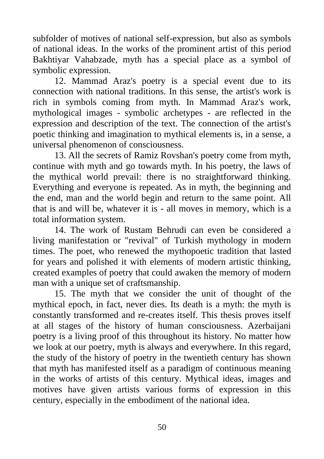subfolder of motives of national self-expression, but also as symbols of national ideas. In the works of the prominent artist of this period Bakhtiyar Vahabzade, myth has a special place as a symbol of symbolic expression.

12. Mammad Araz's poetry is a special event due to its connection with national traditions. In this sense, the artist's work is rich in symbols coming from myth. In Mammad Araz's work, mythological images - symbolic archetypes - are reflected in the expression and description of the text. The connection of the artist's poetic thinking and imagination to mythical elements is, in a sense, a universal phenomenon of consciousness.

13. All the secrets of Ramiz Rovshan's poetry come from myth, continue with myth and go towards myth. In his poetry, the laws of the mythical world prevail: there is no straightforward thinking. Everything and everyone is repeated. As in myth, the beginning and the end, man and the world begin and return to the same point. All that is and will be, whatever it is - all moves in memory, which is a total information system.

14. The work of Rustam Behrudi can even be considered a living manifestation or "revival" of Turkish mythology in modern times. The poet, who renewed the mythopoetic tradition that lasted for years and polished it with elements of modern artistic thinking, created examples of poetry that could awaken the memory of modern man with a unique set of craftsmanship.

15. The myth that we consider the unit of thought of the mythical epoch, in fact, never dies. Its death is a myth: the myth is constantly transformed and re-creates itself. This thesis proves itself at all stages of the history of human consciousness. Azerbaijani poetry is a living proof of this throughout its history. No matter how we look at our poetry, myth is always and everywhere. In this regard, the study of the history of poetry in the twentieth century has shown that myth has manifested itself as a paradigm of continuous meaning in the works of artists of this century. Mythical ideas, images and motives have given artists various forms of expression in this century, especially in the embodiment of the national idea.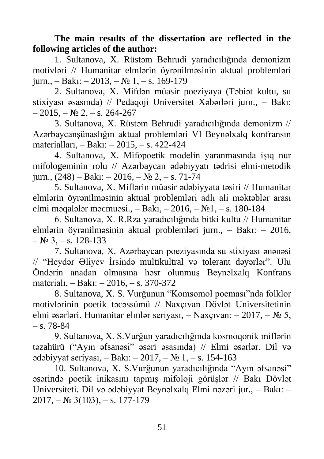**The main results of the dissertation are reflected in the following articles of the author:**

1. Sultanova, X. Rüstəm Behrudi yaradıcılığında demonizm motivləri // Humanitar elmlərin öyrənilməsinin aktual problemləri jurn., – Bakı: – 2013, –  $N_2$  1, – s. 169-179

2. Sultanova, X. Mifdən müasir poeziyaya (Təbiət kultu, su stixiyası əsasında) // Pedaqoji Universitet Xəbərləri jurn., – Bakı:  $-2015, -N_2$  2,  $-$  s. 264-267

3. Sultanova, X. Rüstəm Behrudi yaradıcılığında demonizm // Azərbaycanşünaslığın aktual problemləri VI Beynəlxalq konfransın materialları, – Bakı: – 2015, – s. 422-424

4. Sultanova, X. Mifopoetik modelin yaranmasında işıq nur mifologeminin rolu // Azərbaycan ədəbiyyatı tədrisi elmi-metodik jurn.,  $(248) - Bak1$ :  $- 2016$ ,  $- N_2 2$ ,  $- s$ . 71-74

5. Sultanova, X. Miflərin müasir ədəbiyyata təsiri // Humanitar elmlərin öyrənilməsinin aktual problemləri adlı ali məktəblər arası elmi məqalələr məcmuəsi., – Bakı, – 2016, –  $\mathbb{N}$  – s. 180-184

6. Sultanova, X. R.Rza yaradıcılığında bitki kultu // Humanitar elmlərin öyrənilməsinin aktual problemləri jurn., – Bakı: – 2016,  $-$  No 3,  $-$  s. 128-133

7. Sultanova, X. Azərbaycan poeziyasında su stixiyası ənənəsi // "Heydər Əliyev İrsində multikultral və tolerant dəyərlər". Ulu Öndərin anadan olmasına həsr olunmuş Beynəlxalq Konfrans materialı, – Bakı: – 2016, – s. 370-372

8. Sultanova, X. S. Vurğunun "Komsomol poeması"nda folklor motivlərinin poetik təcəssümü // Naxçıvan Dövlət Universitetinin elmi əsərləri. Humanitar elmlər seriyası, – Naxçıvan: – 2017, – № 5,  $- s. 78 - 84$ 

9. Sultanova, X. S.Vurğun yaradıcılığında kosmoqonik miflərin təzahürü ("Ayın əfsanəsi" əsəri əsasında) // Elmi əsərlər. Dil və ədəbiyyat seriyası, – Bakı: – 2017, – № 1, – s. 154-163

10. Sultanova, X. S.Vurğunun yaradıcılığında "Ayın əfsanəsi" əsərində poetik inikasını tapmış mifoloji görüşlər // Bakı Dövlət Universiteti. Dil və ədəbiyyat Beynəlxalq Elmi nəzəri jur., – Bakı: –  $2017, -N<sub>2</sub> 3(103), -s. 177-179$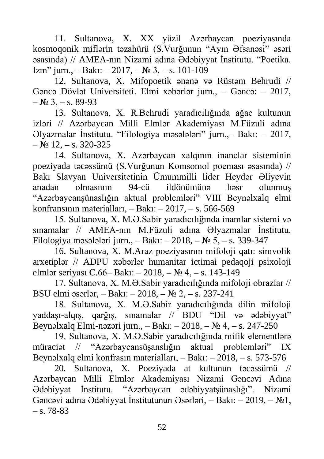11. Sultanova, X. XX yüzil Azərbaycan poeziyasında kosmoqonik miflərin təzahürü (S.Vurğunun "Ayın Əfsanəsi" əsəri əsasında) // AMEA-nın Nizami adına Ədəbiyyat İnstitutu. "Poetika. Izm" jurn., – Bakı: – 2017, –  $\mathbb{N}^2$  3, – s. 101-109

12. Sultanova, X. Mifopoetik ənənə və Rüstəm Behrudi // Gəncə Dövlət Universiteti. Elmi xəbərlər jurn., – Gəncə: – 2017,  $-$  No 3,  $-$  s. 89-93

13. Sultanova, X. R.Behrudi yaradıcılığında ağac kultunun izləri // Azərbaycan Milli Elmlər Akademiyası M.Füzuli adına Əlyazmalar İnstitutu. "Filologiya məsələləri" jurn.,– Bakı: – 2017, – № 12, **–** s. 320-325

14. Sultanova, X. Azərbaycan xalqının inanclar sisteminin poeziyada təcəssümü (S.Vurğunun Komsomol poeması əsasında) // Bakı Slavyan Universitetinin Ümummilli lider Heydər Əliyevin anadan olmasının 94-cü ildönümünə həsr olunmuş "Azərbaycanşünaslığın aktual problemləri" VIII Beynəlxalq elmi konfransının materialları, – Bakı: – 2017, – s. 566-569

15. Sultanova, X. M.Ə.Sabir yaradıcılığında inamlar sistemi və sınamalar // AMEA-nın M.Füzuli adına Əlyazmalar İnstitutu. Filologiya məsələləri jurn., – Bakı: – 2018, **–** № 5, **–** s. 339-347

16. Sultanova, X. M.Araz poeziyasının mifoloji qatı: simvolik arxetiplər // ADPU xəbərlər humanitar ictimai pedaqoji psixoloji elmlər seriyası C.66– Bakı: – 2018, **–** № 4, **–** s. 143-149

17. Sultanova, X. M.Ə.Sabir yaradıcılığında mifoloji obrazlar // BSU elmi əsərlər, – Bakı: – 2018, **–** № 2, **–** s. 237-241

18. Sultanova, X. M.Ə.Sabir yaradıcılığında dilin mifoloji yaddaşı-alqış, qarğış, sınamalar // BDU "Dil və ədəbiyyat" Beynəlxalq Elmi-nəzəri jurn., – Bakı: – 2018, **–** № 4, **–** s. 247-250

19. Sultanova, X. M.Ə.Sabir yaradıcılığında mifik elementlərə müraciət // "Azərbaycansüşanslığın aktual problemləri" IX Beynəlxalq elmi konfrasın materialları, – Bakı: – 2018, – s. 573-576

20. Sultanova, X. Poeziyada at kultunun təcəssümü // Azərbaycan Milli Elmlər Akademiyası Nizami Gəncəvi Adına Ədəbiyyat İnstitutu. "Azərbaycan ədəbiyyatşünaslığı". Nizami Gəncəvi adına Ədəbiyyat İnstitutunun Əsərləri, – Bakı: – 2019, – №1,  $-$  s. 78-83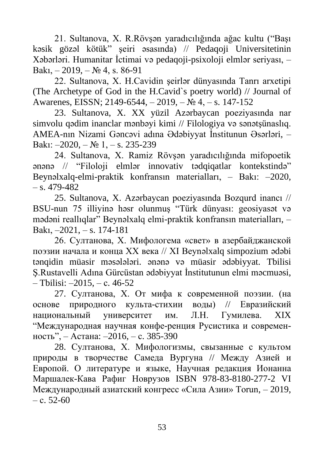21. Sultanova, X. R.Rövşən yaradıcılığında ağac kultu ("Başı kəsik gözəl kötük" şeiri əsasında) // Pedaqoji Universitetinin Xəbərləri. Humanitar İctimai və pedaqoji-psixoloji elmlər seriyası, – Bakı,  $-2019$ ,  $-$  No 4, s. 86-91

22. Sultanova, X. H.Cavidin şeirlər dünyasında Tanrı arxetipi (The Archetype of God in the H.Cavid`s poetry world) // Journal of Awarenes, EISSN; 2149-6544, – 2019, – № 4, – s. 147-152

23. Sultanova, X. XX yüzil Azərbaycan poeziyasında nar simvolu qədim inanclar mənbəyi kimi // Filologiya və sənətşünaslıq. AMEA-nın Nizami Gəncəvi adına Ədəbiyyat İnstitunun Əsərləri, – Bakı: –2020, – № 1, – s. 235-239

24. Sultanova, X. Ramiz Rövşən yaradıcılığında mifopoetik ənənə // "Filoloji elmlər innovativ tədqiqatlar kontekstində" Beynəlxalq-elmi-praktik konfransın materialları, – Bakı: –2020,  $-$  s. 479-482.

25. Sultanova, X. Azərbaycan poeziyasında Bozqurd inancı // BSU-nun 75 illiyinə həsr olunmuş "Türk dünyası: geosiyasət və mədəni reallıqlar" Beynəlxalq elmi-praktik konfransın materialları, – Bakı, –2021, – s. 174-181

26. Султанова, Х. Мифологема «свет» в азербайджанской поэзии начала и конца ХХ века // XI Beynəlxalq simpozium ədəbi tənqidin müasir məsələləri. ənənə və müasir ədəbiyyat. Tbilisi Ş.Rustavelli Adına Gürcüstan ədəbiyyat İnstitutunun elmi məcmuəsi, – Tbilisi: –2015, – с. 46-52

27. Султанова, Х. От мифа к современной поэзии. (на основе природного культа-стихии воды) // Евразийский национальный университет им. Л.Н. Гумилева. XIX "Международная научная конфе-ренция Русистика и современность", – Астана: –2016, – с. 385-390

28. Султанова, Х. Мифологизмы, свызанные с культом природы в творчестве Самеда Вургуна // Между Азией и Европой. О литературе и языке, Научная редакция Ионанна Маршалек-Кава Рафиг Новрузов ISBN 978-83-8180-277-2 VI Международный азиатский конгресс «Сила Азии» Torun, – 2019, – с. 52-60

53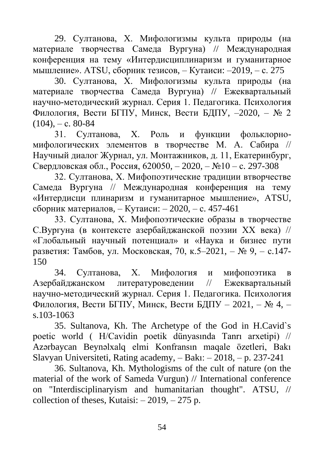29. Султанова, Х. Мифологизмы культа природы (на материале творчества Самеда Вургуна) // Международная конференция на тему «Интердисциплинаризм и гуманитарное мышление». АТSU, сборник тезисов, – Кутаиси: –2019, – с. 275

30. Султанова, Х. Мифологизмы культа природы (на материале творчества Самеда Вургуна) // Ежеквартальный научно-методический журнал. Серия 1. Педагогика. Психология Филология, Вести БГПУ, Минск, Вести БДПУ, –2020, – № 2  $(104)$ , – c. 80-84

31. Султанова, Х. Роль и функции фольклорномифологических элементов в творчестве М. А. Сабира // Научный диалог Журнал, ул. Монтажников, д. 11, Екатеринбург, Свердловская обл., Россия, 620050, – 2020, – №10 – с. 297-308

32. Султанова, Х. Мифопоэтические традиции втворчестве Самеда Вургуна // Международная конференция на тему «Интердисци плинаризм и гуманитарное мышление», АТSU, сборник материалов, – Кутаиси: – 2020, – с. 457-461

33. Султанова, Х. Мифопоэтические образы в творчестве С.Вургуна (в контексте азербайджанской поэзии ХХ века) // «Глобальный научный потенциал» и «Наука и бизнес пути разветия: [Тамбов, ул. Московская, 70, к.5–2021, –](http://globaljournals.ru/nauka-i-biznes/arhiv/vyipuski-za-2021-god/#new2) № 9, – с.147-[150](http://globaljournals.ru/nauka-i-biznes/arhiv/vyipuski-za-2021-god/#new2)

34. [Султанова, Х. Мифология и мифопоэтика](http://globaljournals.ru/nauka-i-biznes/arhiv/vyipuski-za-2021-god/#new2) в [Азербайджанском литературоведении // Ежеквартальный](http://globaljournals.ru/nauka-i-biznes/arhiv/vyipuski-za-2021-god/#new2)  [научно-методический журнал. Серия 1. Педагогика. Психология](http://globaljournals.ru/nauka-i-biznes/arhiv/vyipuski-za-2021-god/#new2)  Филология, [Вести БГПУ, Минск, Вести БДПУ –](http://globaljournals.ru/nauka-i-biznes/arhiv/vyipuski-za-2021-god/#new2) 2021, – № 4, – [s.103-1063](http://globaljournals.ru/nauka-i-biznes/arhiv/vyipuski-za-2021-god/#new2)

[35. Sultanova, Kh. The Archetype of the God in H.Cavid`s](http://globaljournals.ru/nauka-i-biznes/arhiv/vyipuski-za-2021-god/#new2)  [poetic world \( H/Cavidin poetik dünyasında Tanrı arxetipi\) //](http://globaljournals.ru/nauka-i-biznes/arhiv/vyipuski-za-2021-god/#new2)  [Azərbaycan Beynəlxalq elmi Konfransın maqale özetleri, Bakı](http://globaljournals.ru/nauka-i-biznes/arhiv/vyipuski-za-2021-god/#new2)  [Slavyan Universiteti, Rating academy, –](http://globaljournals.ru/nauka-i-biznes/arhiv/vyipuski-za-2021-god/#new2) Bakı: – 2018, – p. 237-241

[36. Sultanova, Kh. Mythologisms of the cult of nature \(on the](http://globaljournals.ru/nauka-i-biznes/arhiv/vyipuski-za-2021-god/#new2)  [material of the work of Sameda Vurgun\) //](http://globaljournals.ru/nauka-i-biznes/arhiv/vyipuski-za-2021-god/#new2) International conference [on "Interdisciplinaryism and humanitarian thought". ATSU, //](http://globaljournals.ru/nauka-i-biznes/arhiv/vyipuski-za-2021-god/#new2)  collection of theses, Kutaisi:  $-2019$ ,  $-275$  p.

54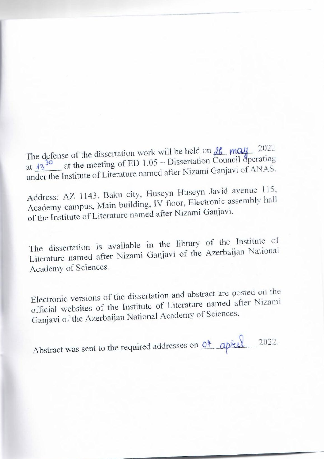$T_{\text{total}}$  on  $\mu$   $\sim$  2022 at defense of the dissertation work will be field on  $\frac{10}{40}$  –  $\frac{1000}{20}$  operating at  $\frac{13^{30}}{20}$  at the meeting of ED 1.05 – Dissertation Council operating under the Institute of Literature named after Nizami Ganjavi of ANAS.

Address: AZ 1143. Baku city, Huseyn Huseyn Javid avenue 115, ddress:  $\Delta Z$  1143. Baku city, Tussyn Hassemble assembly hall cademy campus, Main building, TV Hoor, Erretting.

The dissertation is available in the library of the Institute of he dissertation is available in the Azerbaijan National Academy of Sciences.

Electronic versions of the dissertation and abstract are posted on the official websites of the Institute of Literature named after Nizami Ganjavi of the Azerbaijan National Academy of Sciences.

Abstract was sent to the required addresses on  $0^*$  aprul 2022.